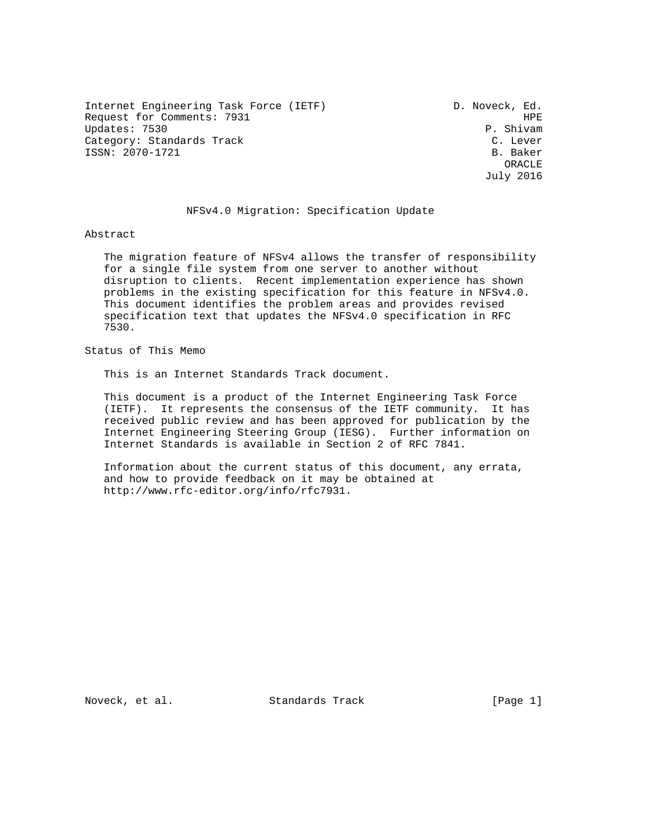Internet Engineering Task Force (IETF) D. Noveck, Ed. Request for Comments: 7931 HPE HPE (1999) HPE HPE (1999) HPE (1999) HPE (1999) HPE (1999) HPE (1999) HPE (1999) HPE (1999) HPE (1999) HPE (1999) HPE (1999) HPE (1999) HPE (1999) HPE (1999) HPE (1999) HPE (1999) HPE (1999) Updates: 7530<br>Category: Standards Track entries and the control of the control of the C. Lever Category: Standards Track ISSN: 2070-1721 B. Baker

 ORACLE July 2016

#### NFSv4.0 Migration: Specification Update

#### Abstract

 The migration feature of NFSv4 allows the transfer of responsibility for a single file system from one server to another without disruption to clients. Recent implementation experience has shown problems in the existing specification for this feature in NFSv4.0. This document identifies the problem areas and provides revised specification text that updates the NFSv4.0 specification in RFC 7530.

Status of This Memo

This is an Internet Standards Track document.

 This document is a product of the Internet Engineering Task Force (IETF). It represents the consensus of the IETF community. It has received public review and has been approved for publication by the Internet Engineering Steering Group (IESG). Further information on Internet Standards is available in Section 2 of RFC 7841.

 Information about the current status of this document, any errata, and how to provide feedback on it may be obtained at http://www.rfc-editor.org/info/rfc7931.

Noveck, et al. Standards Track [Page 1]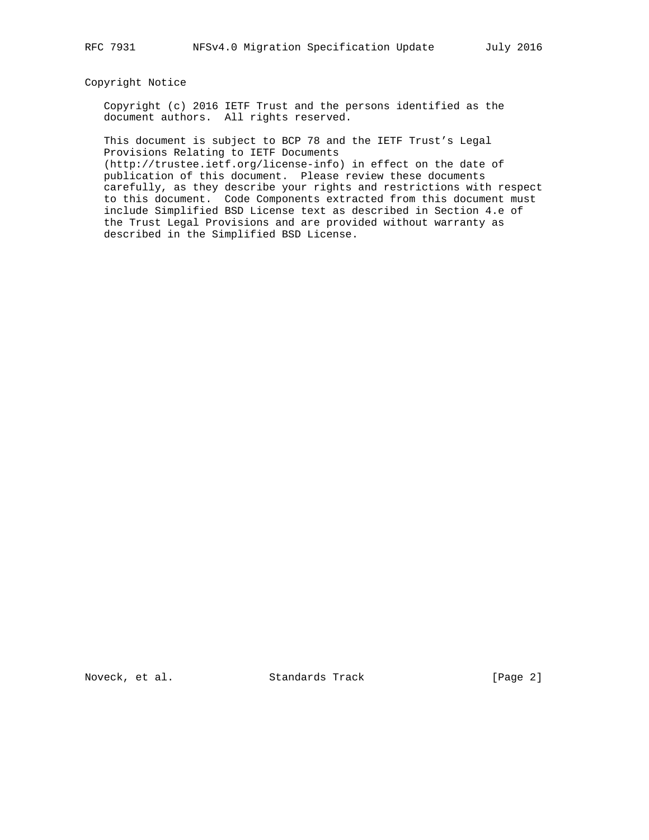## Copyright Notice

 Copyright (c) 2016 IETF Trust and the persons identified as the document authors. All rights reserved.

 This document is subject to BCP 78 and the IETF Trust's Legal Provisions Relating to IETF Documents

 (http://trustee.ietf.org/license-info) in effect on the date of publication of this document. Please review these documents carefully, as they describe your rights and restrictions with respect to this document. Code Components extracted from this document must include Simplified BSD License text as described in Section 4.e of the Trust Legal Provisions and are provided without warranty as described in the Simplified BSD License.

Noveck, et al. Standards Track [Page 2]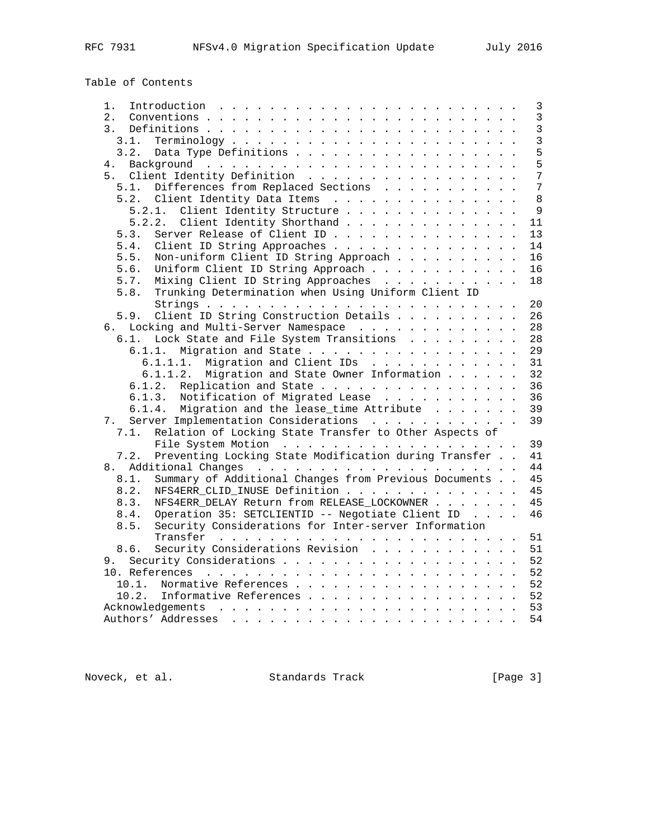# Table of Contents

| 1.                                                             |  | 3              |
|----------------------------------------------------------------|--|----------------|
| 2.                                                             |  | $\overline{3}$ |
| 3.                                                             |  | $\overline{3}$ |
| 3.1.                                                           |  | $\overline{3}$ |
| Data Type Definitions<br>3.2.                                  |  | 5              |
| 4.                                                             |  | 5              |
| 5. Client Identity Definition                                  |  | 7              |
| Differences from Replaced Sections<br>5.1.                     |  | $\overline{7}$ |
| 5.2.                                                           |  | 8              |
| Client Identity Data Items                                     |  | 9              |
| Client Identity Structure<br>5.2.1.                            |  |                |
| Client Identity Shorthand<br>5.2.2.                            |  | 11             |
| Server Release of Client ID<br>5.3.                            |  | 13             |
| Client ID String Approaches<br>5.4.                            |  | 14             |
| 5.5.<br>Non-uniform Client ID String Approach                  |  | 16             |
| Uniform Client ID String Approach<br>5.6.                      |  | 16             |
| 5.7.<br>Mixing Client ID String Approaches                     |  | 18             |
| Trunking Determination when Using Uniform Client ID<br>5.8.    |  |                |
|                                                                |  | 20             |
| Client ID String Construction Details<br>5.9.                  |  | 26             |
| 6. Locking and Multi-Server Namespace                          |  | 28             |
| Lock State and File System Transitions<br>6.1.                 |  | 28             |
| 6.1.1. Migration and State                                     |  | 29             |
| 6.1.1.1. Migration and Client IDs                              |  | 31             |
| 6.1.1.2.<br>Migration and State Owner Information              |  | 32             |
| 6.1.2.<br>Replication and State                                |  | 36             |
| 6.1.3. Notification of Migrated Lease                          |  | 36             |
| 6.1.4. Migration and the lease_time Attribute                  |  | 39             |
| Server Implementation Considerations                           |  | 39             |
| 7.                                                             |  |                |
| Relation of Locking State Transfer to Other Aspects of<br>7.1. |  |                |
|                                                                |  | 39             |
| Preventing Locking State Modification during Transfer<br>7.2.  |  | 41             |
| 8.                                                             |  | 44             |
| Summary of Additional Changes from Previous Documents<br>8.1.  |  | 45             |
| 8.2.<br>NFS4ERR_CLID_INUSE Definition                          |  | 45             |
| NFS4ERR DELAY Return from RELEASE LOCKOWNER<br>8.3.            |  | 45             |
| Operation 35: SETCLIENTID -- Negotiate Client ID<br>8.4.       |  | 46             |
| Security Considerations for Inter-server Information<br>8.5.   |  |                |
|                                                                |  | 51             |
| Security Considerations Revision<br>8.6.                       |  | 51             |
|                                                                |  | 52             |
|                                                                |  | 52             |
| Normative References<br>10.1.                                  |  | 52             |
| 10.2.<br>Informative References                                |  | 52             |
|                                                                |  | 53             |
|                                                                |  | 54             |
|                                                                |  |                |

Noveck, et al. Standards Track [Page 3]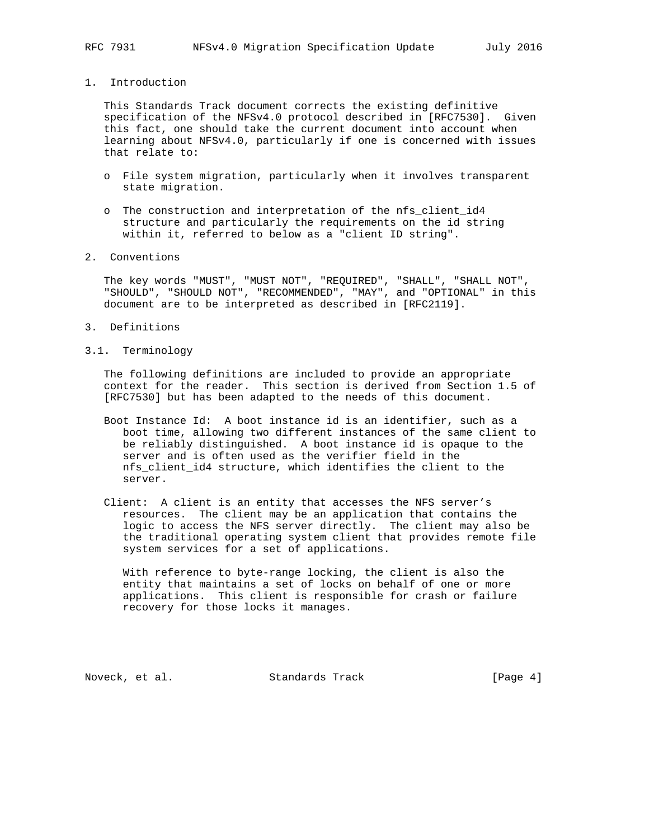## 1. Introduction

 This Standards Track document corrects the existing definitive specification of the NFSv4.0 protocol described in [RFC7530]. Given this fact, one should take the current document into account when learning about NFSv4.0, particularly if one is concerned with issues that relate to:

- o File system migration, particularly when it involves transparent state migration.
- o The construction and interpretation of the nfs\_client\_id4 structure and particularly the requirements on the id string within it, referred to below as a "client ID string".
- 2. Conventions

 The key words "MUST", "MUST NOT", "REQUIRED", "SHALL", "SHALL NOT", "SHOULD", "SHOULD NOT", "RECOMMENDED", "MAY", and "OPTIONAL" in this document are to be interpreted as described in [RFC2119].

- 3. Definitions
- 3.1. Terminology

 The following definitions are included to provide an appropriate context for the reader. This section is derived from Section 1.5 of [RFC7530] but has been adapted to the needs of this document.

- Boot Instance Id: A boot instance id is an identifier, such as a boot time, allowing two different instances of the same client to be reliably distinguished. A boot instance id is opaque to the server and is often used as the verifier field in the nfs\_client\_id4 structure, which identifies the client to the server.
- Client: A client is an entity that accesses the NFS server's resources. The client may be an application that contains the logic to access the NFS server directly. The client may also be the traditional operating system client that provides remote file system services for a set of applications.

 With reference to byte-range locking, the client is also the entity that maintains a set of locks on behalf of one or more applications. This client is responsible for crash or failure recovery for those locks it manages.

Noveck, et al. Standards Track [Page 4]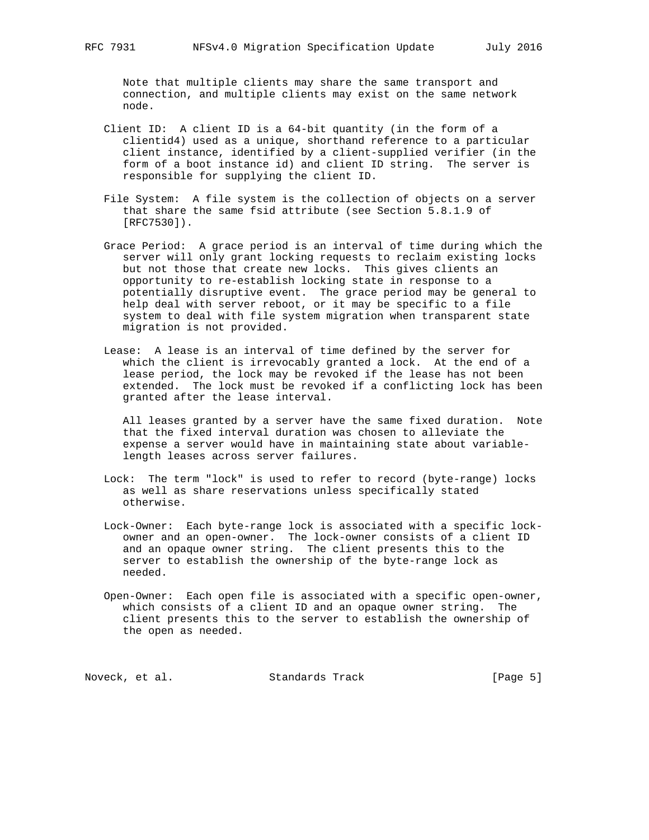Note that multiple clients may share the same transport and connection, and multiple clients may exist on the same network node.

- Client ID: A client ID is a 64-bit quantity (in the form of a clientid4) used as a unique, shorthand reference to a particular client instance, identified by a client-supplied verifier (in the form of a boot instance id) and client ID string. The server is responsible for supplying the client ID.
- File System: A file system is the collection of objects on a server that share the same fsid attribute (see Section 5.8.1.9 of [RFC7530]).
- Grace Period: A grace period is an interval of time during which the server will only grant locking requests to reclaim existing locks but not those that create new locks. This gives clients an opportunity to re-establish locking state in response to a potentially disruptive event. The grace period may be general to help deal with server reboot, or it may be specific to a file system to deal with file system migration when transparent state migration is not provided.
- Lease: A lease is an interval of time defined by the server for which the client is irrevocably granted a lock. At the end of a lease period, the lock may be revoked if the lease has not been extended. The lock must be revoked if a conflicting lock has been granted after the lease interval.

 All leases granted by a server have the same fixed duration. Note that the fixed interval duration was chosen to alleviate the expense a server would have in maintaining state about variable length leases across server failures.

- Lock: The term "lock" is used to refer to record (byte-range) locks as well as share reservations unless specifically stated otherwise.
- Lock-Owner: Each byte-range lock is associated with a specific lock owner and an open-owner. The lock-owner consists of a client ID and an opaque owner string. The client presents this to the server to establish the ownership of the byte-range lock as needed.
- Open-Owner: Each open file is associated with a specific open-owner, which consists of a client ID and an opaque owner string. The client presents this to the server to establish the ownership of the open as needed.

Noveck, et al. Standards Track [Page 5]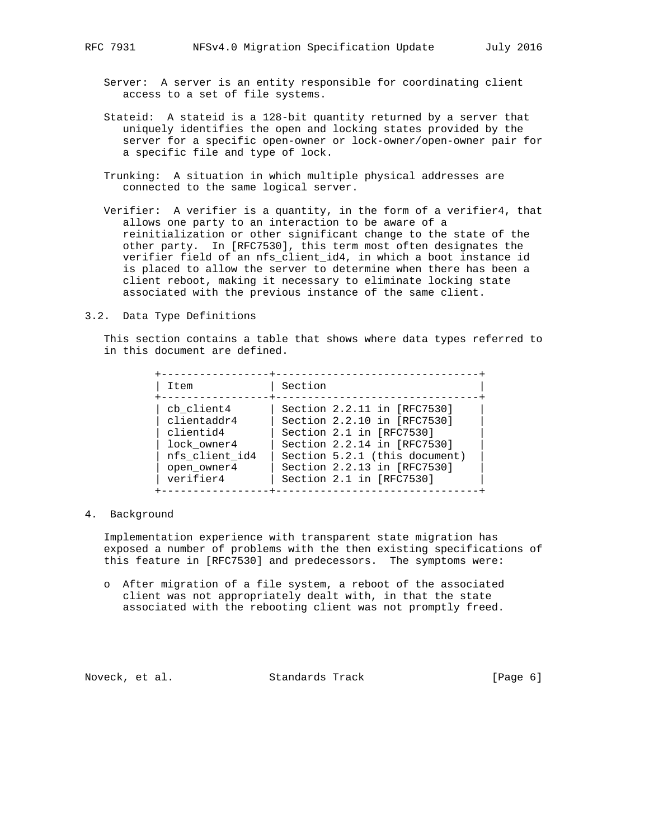- Server: A server is an entity responsible for coordinating client access to a set of file systems.
- Stateid: A stateid is a 128-bit quantity returned by a server that uniquely identifies the open and locking states provided by the server for a specific open-owner or lock-owner/open-owner pair for a specific file and type of lock.
- Trunking: A situation in which multiple physical addresses are connected to the same logical server.
- Verifier: A verifier is a quantity, in the form of a verifier4, that allows one party to an interaction to be aware of a reinitialization or other significant change to the state of the other party. In [RFC7530], this term most often designates the verifier field of an nfs\_client\_id4, in which a boot instance id is placed to allow the server to determine when there has been a client reboot, making it necessary to eliminate locking state associated with the previous instance of the same client.
- 3.2. Data Type Definitions

 This section contains a table that shows where data types referred to in this document are defined.

| Item           | Section                       |
|----------------|-------------------------------|
| cb client4     | Section 2.2.11 in [RFC7530]   |
| clientaddr4    | Section 2.2.10 in [RFC7530]   |
| clientid4      | Section 2.1 in [RFC7530]      |
| lock owner4    | Section 2.2.14 in [RFC7530]   |
| nfs client id4 | Section 5.2.1 (this document) |
| open owner4    | Section 2.2.13 in [RFC7530]   |
| verifier4      | Section 2.1 in [RFC7530]      |

4. Background

 Implementation experience with transparent state migration has exposed a number of problems with the then existing specifications of this feature in [RFC7530] and predecessors. The symptoms were:

 o After migration of a file system, a reboot of the associated client was not appropriately dealt with, in that the state associated with the rebooting client was not promptly freed.

Noveck, et al. Standards Track [Page 6]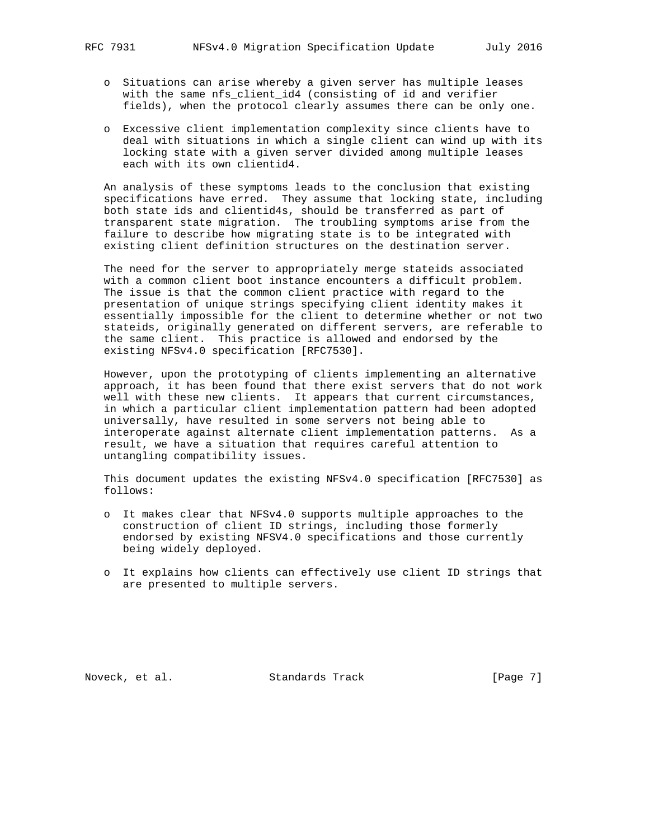- o Situations can arise whereby a given server has multiple leases with the same nfs\_client\_id4 (consisting of id and verifier fields), when the protocol clearly assumes there can be only one.
- o Excessive client implementation complexity since clients have to deal with situations in which a single client can wind up with its locking state with a given server divided among multiple leases each with its own clientid4.

 An analysis of these symptoms leads to the conclusion that existing specifications have erred. They assume that locking state, including both state ids and clientid4s, should be transferred as part of transparent state migration. The troubling symptoms arise from the failure to describe how migrating state is to be integrated with existing client definition structures on the destination server.

 The need for the server to appropriately merge stateids associated with a common client boot instance encounters a difficult problem. The issue is that the common client practice with regard to the presentation of unique strings specifying client identity makes it essentially impossible for the client to determine whether or not two stateids, originally generated on different servers, are referable to the same client. This practice is allowed and endorsed by the existing NFSv4.0 specification [RFC7530].

 However, upon the prototyping of clients implementing an alternative approach, it has been found that there exist servers that do not work well with these new clients. It appears that current circumstances, in which a particular client implementation pattern had been adopted universally, have resulted in some servers not being able to interoperate against alternate client implementation patterns. As a result, we have a situation that requires careful attention to untangling compatibility issues.

 This document updates the existing NFSv4.0 specification [RFC7530] as follows:

- o It makes clear that NFSv4.0 supports multiple approaches to the construction of client ID strings, including those formerly endorsed by existing NFSV4.0 specifications and those currently being widely deployed.
- o It explains how clients can effectively use client ID strings that are presented to multiple servers.

Noveck, et al. Standards Track [Page 7]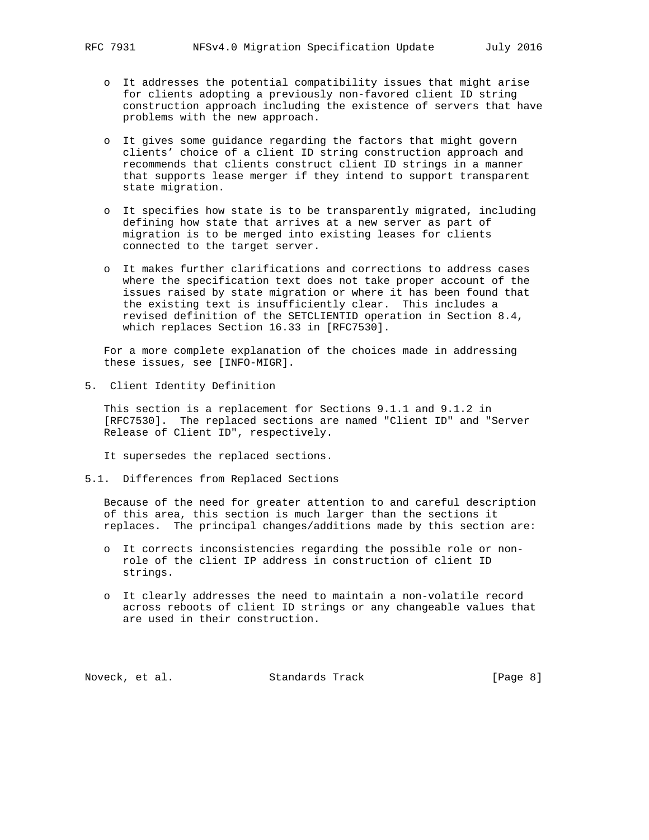- o It addresses the potential compatibility issues that might arise for clients adopting a previously non-favored client ID string construction approach including the existence of servers that have problems with the new approach.
- o It gives some guidance regarding the factors that might govern clients' choice of a client ID string construction approach and recommends that clients construct client ID strings in a manner that supports lease merger if they intend to support transparent state migration.
- o It specifies how state is to be transparently migrated, including defining how state that arrives at a new server as part of migration is to be merged into existing leases for clients connected to the target server.
- o It makes further clarifications and corrections to address cases where the specification text does not take proper account of the issues raised by state migration or where it has been found that the existing text is insufficiently clear. This includes a revised definition of the SETCLIENTID operation in Section 8.4, which replaces Section 16.33 in [RFC7530].

 For a more complete explanation of the choices made in addressing these issues, see [INFO-MIGR].

5. Client Identity Definition

 This section is a replacement for Sections 9.1.1 and 9.1.2 in [RFC7530]. The replaced sections are named "Client ID" and "Server Release of Client ID", respectively.

It supersedes the replaced sections.

5.1. Differences from Replaced Sections

 Because of the need for greater attention to and careful description of this area, this section is much larger than the sections it replaces. The principal changes/additions made by this section are:

- o It corrects inconsistencies regarding the possible role or non role of the client IP address in construction of client ID strings.
- o It clearly addresses the need to maintain a non-volatile record across reboots of client ID strings or any changeable values that are used in their construction.

Noveck, et al. Standards Track [Page 8]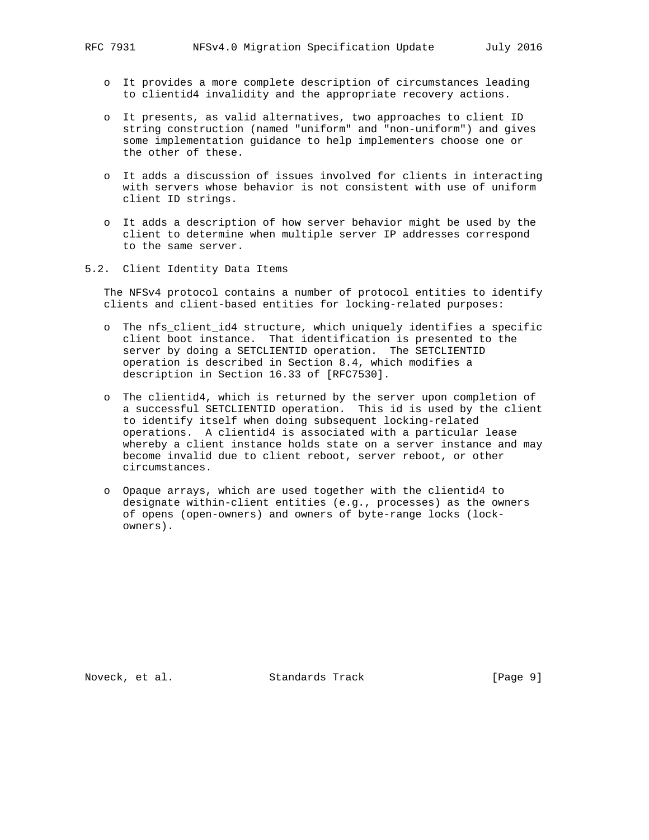- o It provides a more complete description of circumstances leading to clientid4 invalidity and the appropriate recovery actions.
- o It presents, as valid alternatives, two approaches to client ID string construction (named "uniform" and "non-uniform") and gives some implementation guidance to help implementers choose one or the other of these.
- o It adds a discussion of issues involved for clients in interacting with servers whose behavior is not consistent with use of uniform client ID strings.
- o It adds a description of how server behavior might be used by the client to determine when multiple server IP addresses correspond to the same server.
- 5.2. Client Identity Data Items

 The NFSv4 protocol contains a number of protocol entities to identify clients and client-based entities for locking-related purposes:

- o The nfs\_client\_id4 structure, which uniquely identifies a specific client boot instance. That identification is presented to the server by doing a SETCLIENTID operation. The SETCLIENTID operation is described in Section 8.4, which modifies a description in Section 16.33 of [RFC7530].
- o The clientid4, which is returned by the server upon completion of a successful SETCLIENTID operation. This id is used by the client to identify itself when doing subsequent locking-related operations. A clientid4 is associated with a particular lease whereby a client instance holds state on a server instance and may become invalid due to client reboot, server reboot, or other circumstances.
- o Opaque arrays, which are used together with the clientid4 to designate within-client entities (e.g., processes) as the owners of opens (open-owners) and owners of byte-range locks (lock owners).

Noveck, et al. Standards Track [Page 9]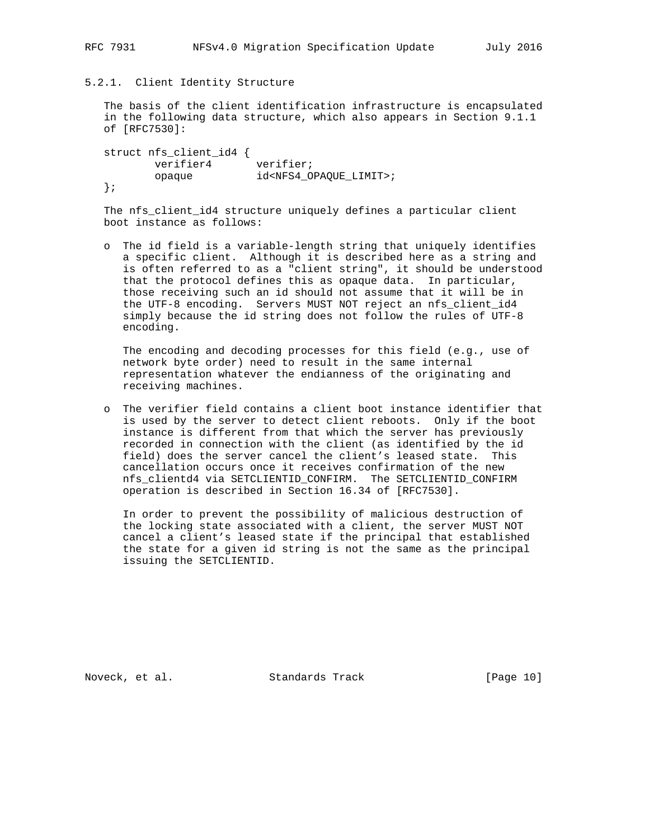5.2.1. Client Identity Structure

 The basis of the client identification infrastructure is encapsulated in the following data structure, which also appears in Section 9.1.1 of [RFC7530]:

```
 struct nfs_client_id4 {
verifier4 verifier;
 opaque id<NFS4_OPAQUE_LIMIT>;
  };
```
 The nfs\_client\_id4 structure uniquely defines a particular client boot instance as follows:

 o The id field is a variable-length string that uniquely identifies a specific client. Although it is described here as a string and is often referred to as a "client string", it should be understood that the protocol defines this as opaque data. In particular, those receiving such an id should not assume that it will be in the UTF-8 encoding. Servers MUST NOT reject an nfs\_client\_id4 simply because the id string does not follow the rules of UTF-8 encoding.

 The encoding and decoding processes for this field (e.g., use of network byte order) need to result in the same internal representation whatever the endianness of the originating and receiving machines.

 o The verifier field contains a client boot instance identifier that is used by the server to detect client reboots. Only if the boot instance is different from that which the server has previously recorded in connection with the client (as identified by the id field) does the server cancel the client's leased state. This cancellation occurs once it receives confirmation of the new nfs\_clientd4 via SETCLIENTID\_CONFIRM. The SETCLIENTID\_CONFIRM operation is described in Section 16.34 of [RFC7530].

 In order to prevent the possibility of malicious destruction of the locking state associated with a client, the server MUST NOT cancel a client's leased state if the principal that established the state for a given id string is not the same as the principal issuing the SETCLIENTID.

Noveck, et al. Standards Track [Page 10]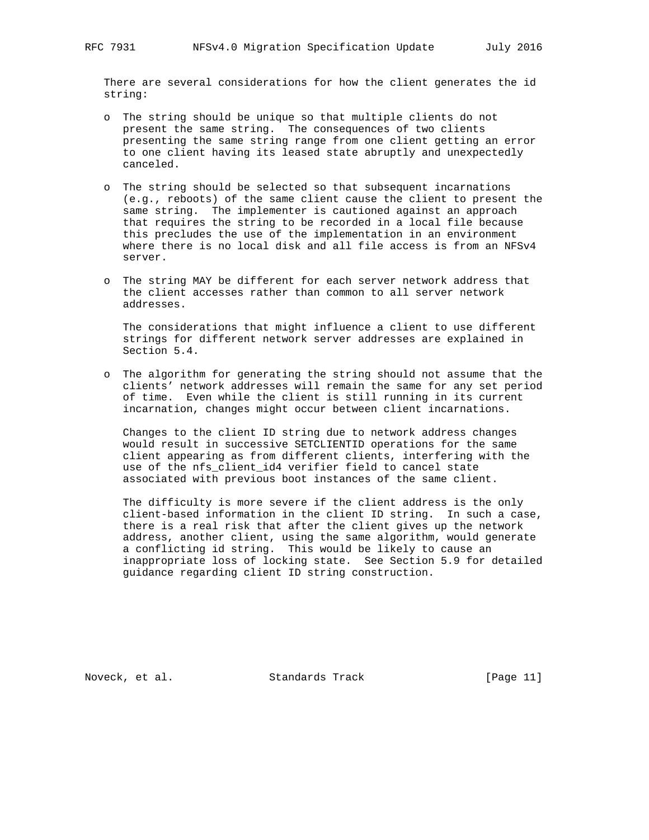There are several considerations for how the client generates the id string:

- o The string should be unique so that multiple clients do not present the same string. The consequences of two clients presenting the same string range from one client getting an error to one client having its leased state abruptly and unexpectedly canceled.
- o The string should be selected so that subsequent incarnations (e.g., reboots) of the same client cause the client to present the same string. The implementer is cautioned against an approach that requires the string to be recorded in a local file because this precludes the use of the implementation in an environment where there is no local disk and all file access is from an NFSv4 server.
- o The string MAY be different for each server network address that the client accesses rather than common to all server network addresses.

 The considerations that might influence a client to use different strings for different network server addresses are explained in Section 5.4.

 o The algorithm for generating the string should not assume that the clients' network addresses will remain the same for any set period of time. Even while the client is still running in its current incarnation, changes might occur between client incarnations.

 Changes to the client ID string due to network address changes would result in successive SETCLIENTID operations for the same client appearing as from different clients, interfering with the use of the nfs client id4 verifier field to cancel state associated with previous boot instances of the same client.

 The difficulty is more severe if the client address is the only client-based information in the client ID string. In such a case, there is a real risk that after the client gives up the network address, another client, using the same algorithm, would generate a conflicting id string. This would be likely to cause an inappropriate loss of locking state. See Section 5.9 for detailed guidance regarding client ID string construction.

Noveck, et al. Standards Track [Page 11]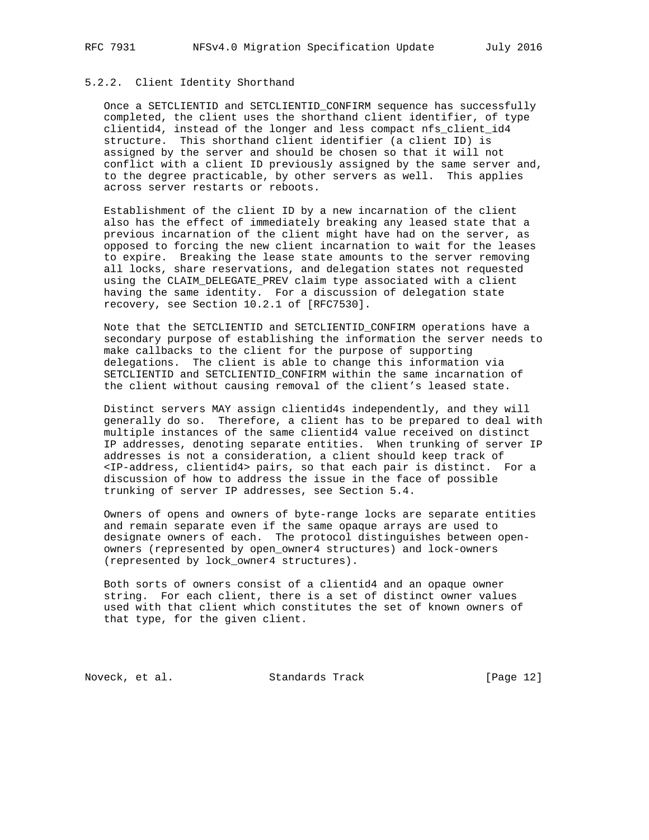## 5.2.2. Client Identity Shorthand

 Once a SETCLIENTID and SETCLIENTID\_CONFIRM sequence has successfully completed, the client uses the shorthand client identifier, of type clientid4, instead of the longer and less compact nfs\_client\_id4 structure. This shorthand client identifier (a client ID) is assigned by the server and should be chosen so that it will not conflict with a client ID previously assigned by the same server and, to the degree practicable, by other servers as well. This applies across server restarts or reboots.

 Establishment of the client ID by a new incarnation of the client also has the effect of immediately breaking any leased state that a previous incarnation of the client might have had on the server, as opposed to forcing the new client incarnation to wait for the leases to expire. Breaking the lease state amounts to the server removing all locks, share reservations, and delegation states not requested using the CLAIM\_DELEGATE\_PREV claim type associated with a client having the same identity. For a discussion of delegation state recovery, see Section 10.2.1 of [RFC7530].

 Note that the SETCLIENTID and SETCLIENTID\_CONFIRM operations have a secondary purpose of establishing the information the server needs to make callbacks to the client for the purpose of supporting delegations. The client is able to change this information via SETCLIENTID and SETCLIENTID\_CONFIRM within the same incarnation of the client without causing removal of the client's leased state.

 Distinct servers MAY assign clientid4s independently, and they will generally do so. Therefore, a client has to be prepared to deal with multiple instances of the same clientid4 value received on distinct IP addresses, denoting separate entities. When trunking of server IP addresses is not a consideration, a client should keep track of <IP-address, clientid4> pairs, so that each pair is distinct. For a discussion of how to address the issue in the face of possible trunking of server IP addresses, see Section 5.4.

 Owners of opens and owners of byte-range locks are separate entities and remain separate even if the same opaque arrays are used to designate owners of each. The protocol distinguishes between open owners (represented by open\_owner4 structures) and lock-owners (represented by lock\_owner4 structures).

 Both sorts of owners consist of a clientid4 and an opaque owner string. For each client, there is a set of distinct owner values used with that client which constitutes the set of known owners of that type, for the given client.

Noveck, et al. Standards Track [Page 12]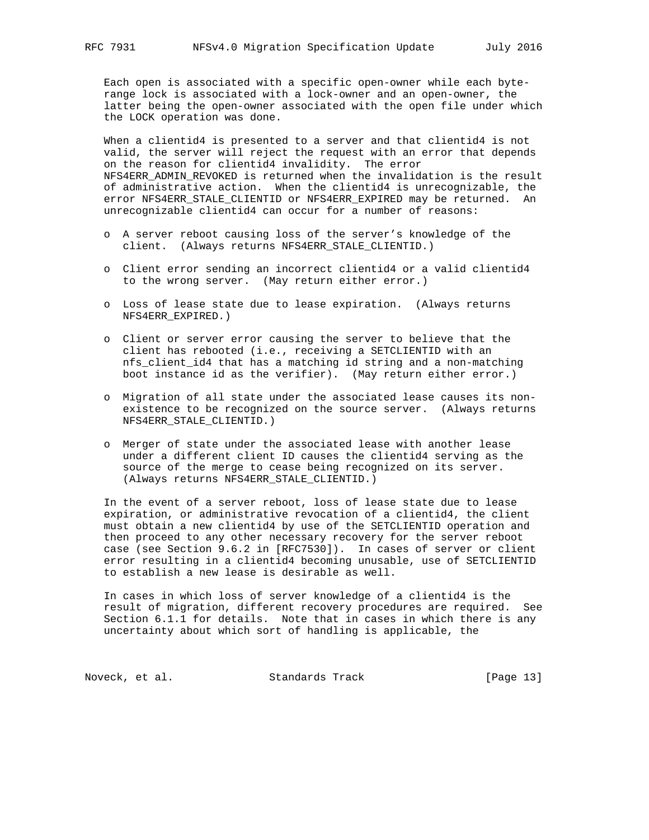Each open is associated with a specific open-owner while each byte range lock is associated with a lock-owner and an open-owner, the latter being the open-owner associated with the open file under which the LOCK operation was done.

 When a clientid4 is presented to a server and that clientid4 is not valid, the server will reject the request with an error that depends on the reason for clientid4 invalidity. The error NFS4ERR\_ADMIN\_REVOKED is returned when the invalidation is the result of administrative action. When the clientid4 is unrecognizable, the error NFS4ERR\_STALE\_CLIENTID or NFS4ERR\_EXPIRED may be returned. An unrecognizable clientid4 can occur for a number of reasons:

- o A server reboot causing loss of the server's knowledge of the client. (Always returns NFS4ERR\_STALE\_CLIENTID.)
- o Client error sending an incorrect clientid4 or a valid clientid4 to the wrong server. (May return either error.)
- o Loss of lease state due to lease expiration. (Always returns NFS4ERR\_EXPIRED.)
- o Client or server error causing the server to believe that the client has rebooted (i.e., receiving a SETCLIENTID with an nfs\_client\_id4 that has a matching id string and a non-matching boot instance id as the verifier). (May return either error.)
- o Migration of all state under the associated lease causes its non existence to be recognized on the source server. (Always returns NFS4ERR\_STALE\_CLIENTID.)
- o Merger of state under the associated lease with another lease under a different client ID causes the clientid4 serving as the source of the merge to cease being recognized on its server. (Always returns NFS4ERR\_STALE\_CLIENTID.)

 In the event of a server reboot, loss of lease state due to lease expiration, or administrative revocation of a clientid4, the client must obtain a new clientid4 by use of the SETCLIENTID operation and then proceed to any other necessary recovery for the server reboot case (see Section 9.6.2 in [RFC7530]). In cases of server or client error resulting in a clientid4 becoming unusable, use of SETCLIENTID to establish a new lease is desirable as well.

 In cases in which loss of server knowledge of a clientid4 is the result of migration, different recovery procedures are required. See Section 6.1.1 for details. Note that in cases in which there is any uncertainty about which sort of handling is applicable, the

Noveck, et al. Standards Track [Page 13]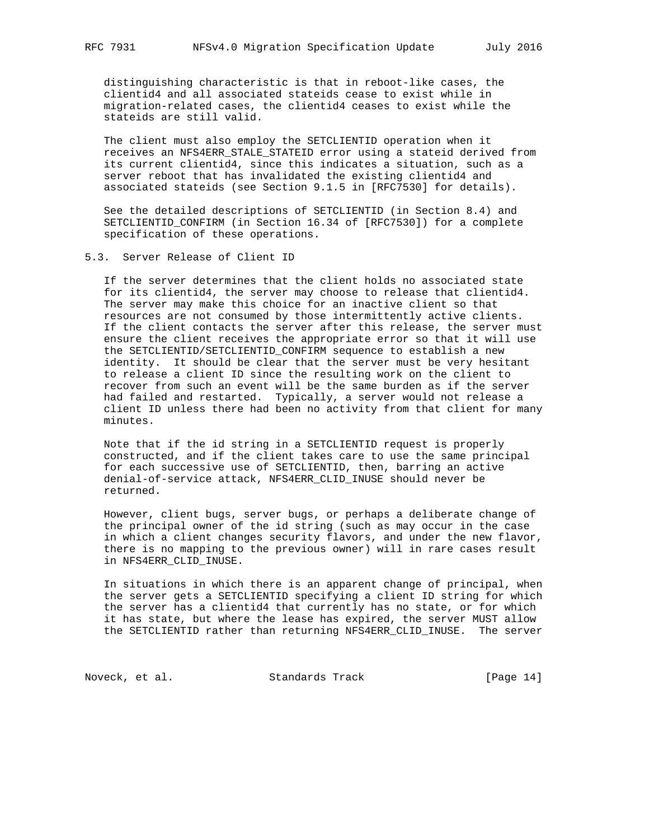distinguishing characteristic is that in reboot-like cases, the clientid4 and all associated stateids cease to exist while in migration-related cases, the clientid4 ceases to exist while the stateids are still valid.

 The client must also employ the SETCLIENTID operation when it receives an NFS4ERR\_STALE\_STATEID error using a stateid derived from its current clientid4, since this indicates a situation, such as a server reboot that has invalidated the existing clientid4 and associated stateids (see Section 9.1.5 in [RFC7530] for details).

 See the detailed descriptions of SETCLIENTID (in Section 8.4) and SETCLIENTID\_CONFIRM (in Section 16.34 of [RFC7530]) for a complete specification of these operations.

#### 5.3. Server Release of Client ID

 If the server determines that the client holds no associated state for its clientid4, the server may choose to release that clientid4. The server may make this choice for an inactive client so that resources are not consumed by those intermittently active clients. If the client contacts the server after this release, the server must ensure the client receives the appropriate error so that it will use the SETCLIENTID/SETCLIENTID\_CONFIRM sequence to establish a new identity. It should be clear that the server must be very hesitant to release a client ID since the resulting work on the client to recover from such an event will be the same burden as if the server had failed and restarted. Typically, a server would not release a client ID unless there had been no activity from that client for many minutes.

 Note that if the id string in a SETCLIENTID request is properly constructed, and if the client takes care to use the same principal for each successive use of SETCLIENTID, then, barring an active denial-of-service attack, NFS4ERR\_CLID\_INUSE should never be returned.

 However, client bugs, server bugs, or perhaps a deliberate change of the principal owner of the id string (such as may occur in the case in which a client changes security flavors, and under the new flavor, there is no mapping to the previous owner) will in rare cases result in NFS4ERR\_CLID\_INUSE.

 In situations in which there is an apparent change of principal, when the server gets a SETCLIENTID specifying a client ID string for which the server has a clientid4 that currently has no state, or for which it has state, but where the lease has expired, the server MUST allow the SETCLIENTID rather than returning NFS4ERR\_CLID\_INUSE. The server

Noveck, et al. Standards Track [Page 14]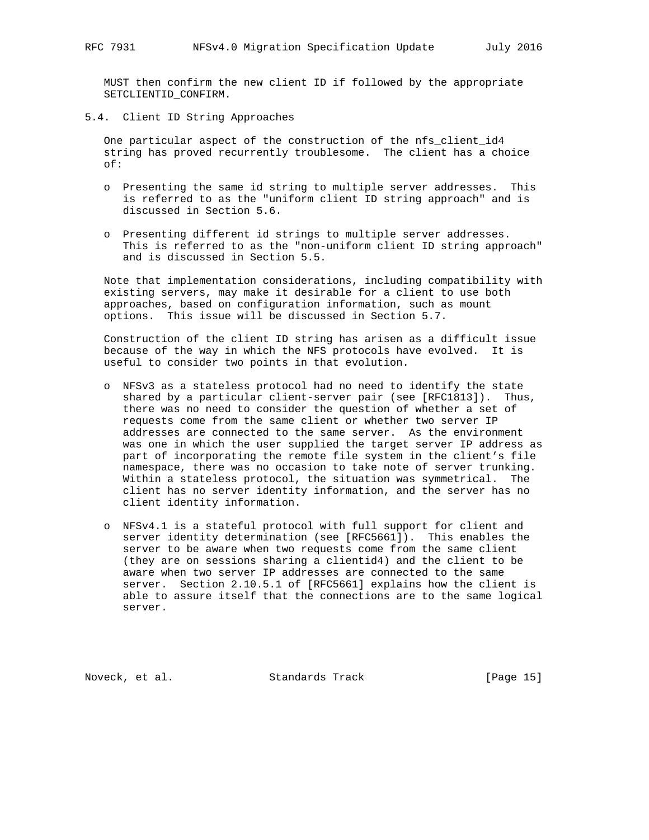MUST then confirm the new client ID if followed by the appropriate SETCLIENTID\_CONFIRM.

5.4. Client ID String Approaches

 One particular aspect of the construction of the nfs\_client\_id4 string has proved recurrently troublesome. The client has a choice of:

- o Presenting the same id string to multiple server addresses. This is referred to as the "uniform client ID string approach" and is discussed in Section 5.6.
- o Presenting different id strings to multiple server addresses. This is referred to as the "non-uniform client ID string approach" and is discussed in Section 5.5.

 Note that implementation considerations, including compatibility with existing servers, may make it desirable for a client to use both approaches, based on configuration information, such as mount options. This issue will be discussed in Section 5.7.

 Construction of the client ID string has arisen as a difficult issue because of the way in which the NFS protocols have evolved. It is useful to consider two points in that evolution.

- o NFSv3 as a stateless protocol had no need to identify the state shared by a particular client-server pair (see [RFC1813]). Thus, there was no need to consider the question of whether a set of requests come from the same client or whether two server IP addresses are connected to the same server. As the environment was one in which the user supplied the target server IP address as part of incorporating the remote file system in the client's file namespace, there was no occasion to take note of server trunking. Within a stateless protocol, the situation was symmetrical. The client has no server identity information, and the server has no client identity information.
- o NFSv4.1 is a stateful protocol with full support for client and server identity determination (see [RFC5661]). This enables the server to be aware when two requests come from the same client (they are on sessions sharing a clientid4) and the client to be aware when two server IP addresses are connected to the same server. Section 2.10.5.1 of [RFC5661] explains how the client is able to assure itself that the connections are to the same logical server.

Noveck, et al. Standards Track [Page 15]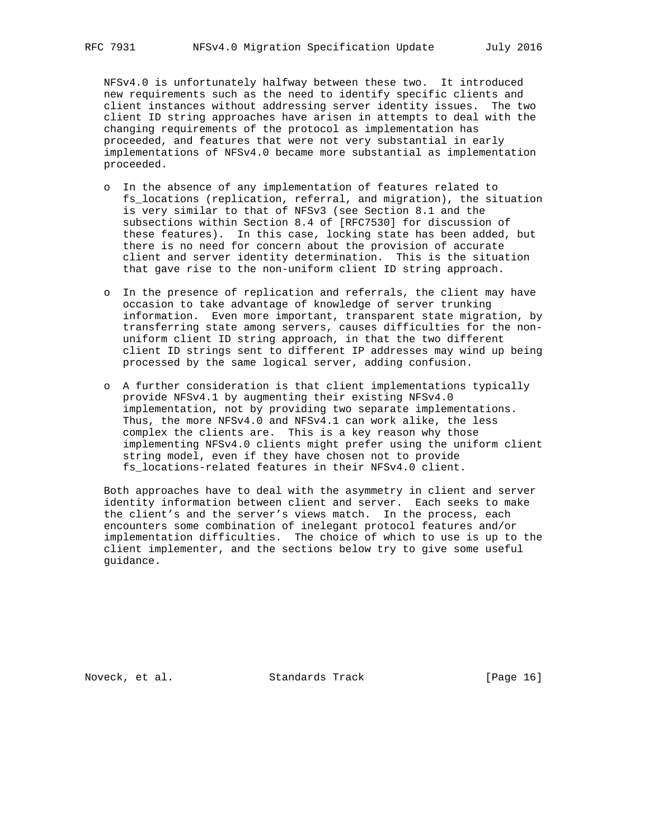NFSv4.0 is unfortunately halfway between these two. It introduced new requirements such as the need to identify specific clients and client instances without addressing server identity issues. The two client ID string approaches have arisen in attempts to deal with the changing requirements of the protocol as implementation has proceeded, and features that were not very substantial in early implementations of NFSv4.0 became more substantial as implementation proceeded.

- o In the absence of any implementation of features related to fs\_locations (replication, referral, and migration), the situation is very similar to that of NFSv3 (see Section 8.1 and the subsections within Section 8.4 of [RFC7530] for discussion of these features). In this case, locking state has been added, but there is no need for concern about the provision of accurate client and server identity determination. This is the situation that gave rise to the non-uniform client ID string approach.
- o In the presence of replication and referrals, the client may have occasion to take advantage of knowledge of server trunking information. Even more important, transparent state migration, by transferring state among servers, causes difficulties for the non uniform client ID string approach, in that the two different client ID strings sent to different IP addresses may wind up being processed by the same logical server, adding confusion.
- o A further consideration is that client implementations typically provide NFSv4.1 by augmenting their existing NFSv4.0 implementation, not by providing two separate implementations. Thus, the more NFSv4.0 and NFSv4.1 can work alike, the less complex the clients are. This is a key reason why those implementing NFSv4.0 clients might prefer using the uniform client string model, even if they have chosen not to provide fs\_locations-related features in their NFSv4.0 client.

 Both approaches have to deal with the asymmetry in client and server identity information between client and server. Each seeks to make the client's and the server's views match. In the process, each encounters some combination of inelegant protocol features and/or implementation difficulties. The choice of which to use is up to the client implementer, and the sections below try to give some useful guidance.

Noveck, et al. Standards Track [Page 16]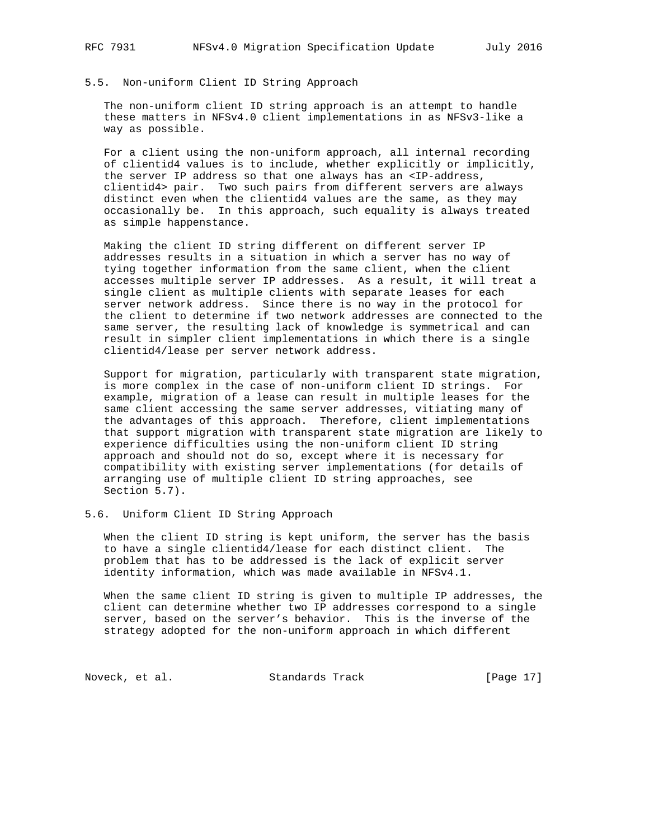## 5.5. Non-uniform Client ID String Approach

 The non-uniform client ID string approach is an attempt to handle these matters in NFSv4.0 client implementations in as NFSv3-like a way as possible.

 For a client using the non-uniform approach, all internal recording of clientid4 values is to include, whether explicitly or implicitly, the server IP address so that one always has an <IP-address, clientid4> pair. Two such pairs from different servers are always distinct even when the clientid4 values are the same, as they may occasionally be. In this approach, such equality is always treated as simple happenstance.

 Making the client ID string different on different server IP addresses results in a situation in which a server has no way of tying together information from the same client, when the client accesses multiple server IP addresses. As a result, it will treat a single client as multiple clients with separate leases for each server network address. Since there is no way in the protocol for the client to determine if two network addresses are connected to the same server, the resulting lack of knowledge is symmetrical and can result in simpler client implementations in which there is a single clientid4/lease per server network address.

 Support for migration, particularly with transparent state migration, is more complex in the case of non-uniform client ID strings. For example, migration of a lease can result in multiple leases for the same client accessing the same server addresses, vitiating many of the advantages of this approach. Therefore, client implementations that support migration with transparent state migration are likely to experience difficulties using the non-uniform client ID string approach and should not do so, except where it is necessary for compatibility with existing server implementations (for details of arranging use of multiple client ID string approaches, see Section 5.7).

#### 5.6. Uniform Client ID String Approach

 When the client ID string is kept uniform, the server has the basis to have a single clientid4/lease for each distinct client. The problem that has to be addressed is the lack of explicit server identity information, which was made available in NFSv4.1.

 When the same client ID string is given to multiple IP addresses, the client can determine whether two IP addresses correspond to a single server, based on the server's behavior. This is the inverse of the strategy adopted for the non-uniform approach in which different

Noveck, et al. Standards Track [Page 17]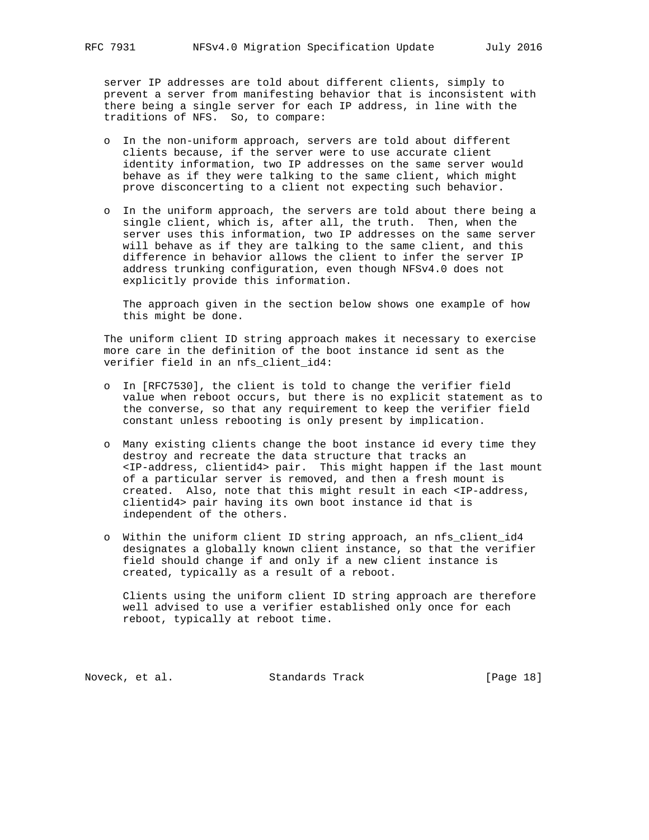server IP addresses are told about different clients, simply to prevent a server from manifesting behavior that is inconsistent with there being a single server for each IP address, in line with the traditions of NFS. So, to compare:

- o In the non-uniform approach, servers are told about different clients because, if the server were to use accurate client identity information, two IP addresses on the same server would behave as if they were talking to the same client, which might prove disconcerting to a client not expecting such behavior.
- o In the uniform approach, the servers are told about there being a single client, which is, after all, the truth. Then, when the server uses this information, two IP addresses on the same server will behave as if they are talking to the same client, and this difference in behavior allows the client to infer the server IP address trunking configuration, even though NFSv4.0 does not explicitly provide this information.

 The approach given in the section below shows one example of how this might be done.

 The uniform client ID string approach makes it necessary to exercise more care in the definition of the boot instance id sent as the verifier field in an nfs\_client\_id4:

- o In [RFC7530], the client is told to change the verifier field value when reboot occurs, but there is no explicit statement as to the converse, so that any requirement to keep the verifier field constant unless rebooting is only present by implication.
- o Many existing clients change the boot instance id every time they destroy and recreate the data structure that tracks an <IP-address, clientid4> pair. This might happen if the last mount of a particular server is removed, and then a fresh mount is created. Also, note that this might result in each <IP-address, clientid4> pair having its own boot instance id that is independent of the others.
- o Within the uniform client ID string approach, an nfs\_client\_id4 designates a globally known client instance, so that the verifier field should change if and only if a new client instance is created, typically as a result of a reboot.

 Clients using the uniform client ID string approach are therefore well advised to use a verifier established only once for each reboot, typically at reboot time.

Noveck, et al. Standards Track [Page 18]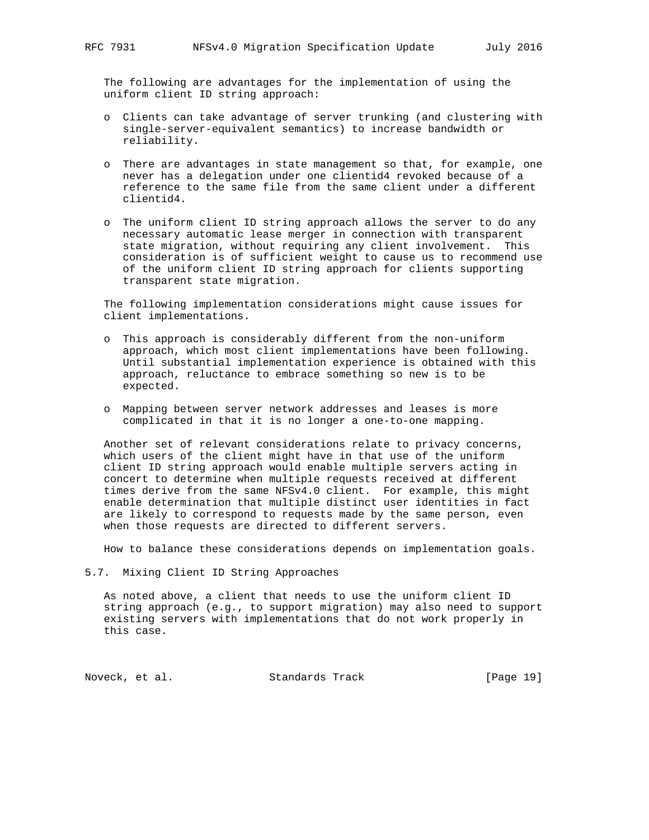The following are advantages for the implementation of using the uniform client ID string approach:

- o Clients can take advantage of server trunking (and clustering with single-server-equivalent semantics) to increase bandwidth or reliability.
- o There are advantages in state management so that, for example, one never has a delegation under one clientid4 revoked because of a reference to the same file from the same client under a different clientid4.
- o The uniform client ID string approach allows the server to do any necessary automatic lease merger in connection with transparent state migration, without requiring any client involvement. This consideration is of sufficient weight to cause us to recommend use of the uniform client ID string approach for clients supporting transparent state migration.

 The following implementation considerations might cause issues for client implementations.

- o This approach is considerably different from the non-uniform approach, which most client implementations have been following. Until substantial implementation experience is obtained with this approach, reluctance to embrace something so new is to be expected.
- o Mapping between server network addresses and leases is more complicated in that it is no longer a one-to-one mapping.

 Another set of relevant considerations relate to privacy concerns, which users of the client might have in that use of the uniform client ID string approach would enable multiple servers acting in concert to determine when multiple requests received at different times derive from the same NFSv4.0 client. For example, this might enable determination that multiple distinct user identities in fact are likely to correspond to requests made by the same person, even when those requests are directed to different servers.

How to balance these considerations depends on implementation goals.

5.7. Mixing Client ID String Approaches

 As noted above, a client that needs to use the uniform client ID string approach (e.g., to support migration) may also need to support existing servers with implementations that do not work properly in this case.

Noveck, et al. Standards Track [Page 19]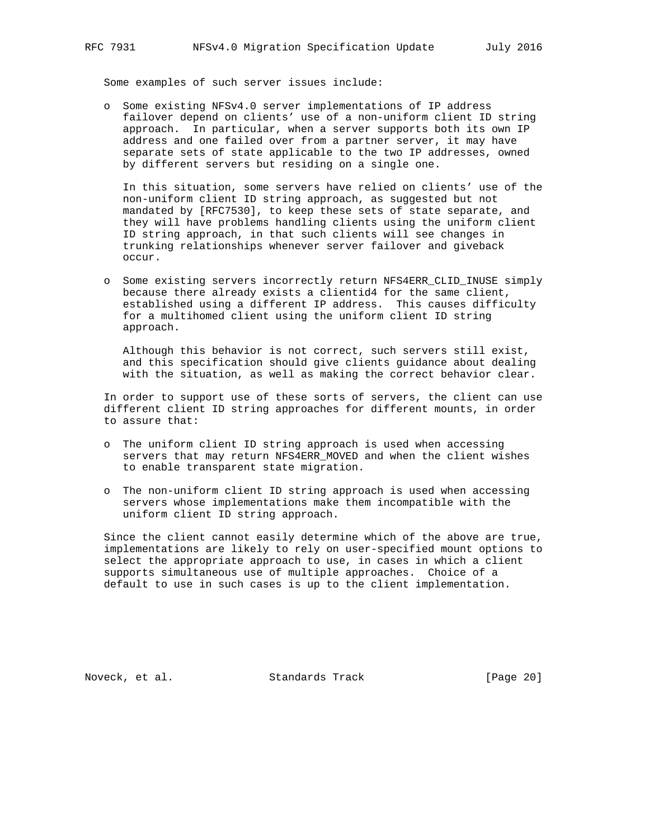Some examples of such server issues include:

 o Some existing NFSv4.0 server implementations of IP address failover depend on clients' use of a non-uniform client ID string approach. In particular, when a server supports both its own IP address and one failed over from a partner server, it may have separate sets of state applicable to the two IP addresses, owned by different servers but residing on a single one.

 In this situation, some servers have relied on clients' use of the non-uniform client ID string approach, as suggested but not mandated by [RFC7530], to keep these sets of state separate, and they will have problems handling clients using the uniform client ID string approach, in that such clients will see changes in trunking relationships whenever server failover and giveback occur.

 o Some existing servers incorrectly return NFS4ERR\_CLID\_INUSE simply because there already exists a clientid4 for the same client, established using a different IP address. This causes difficulty for a multihomed client using the uniform client ID string approach.

 Although this behavior is not correct, such servers still exist, and this specification should give clients guidance about dealing with the situation, as well as making the correct behavior clear.

 In order to support use of these sorts of servers, the client can use different client ID string approaches for different mounts, in order to assure that:

- o The uniform client ID string approach is used when accessing servers that may return NFS4ERR\_MOVED and when the client wishes to enable transparent state migration.
- o The non-uniform client ID string approach is used when accessing servers whose implementations make them incompatible with the uniform client ID string approach.

 Since the client cannot easily determine which of the above are true, implementations are likely to rely on user-specified mount options to select the appropriate approach to use, in cases in which a client supports simultaneous use of multiple approaches. Choice of a default to use in such cases is up to the client implementation.

Noveck, et al. Standards Track [Page 20]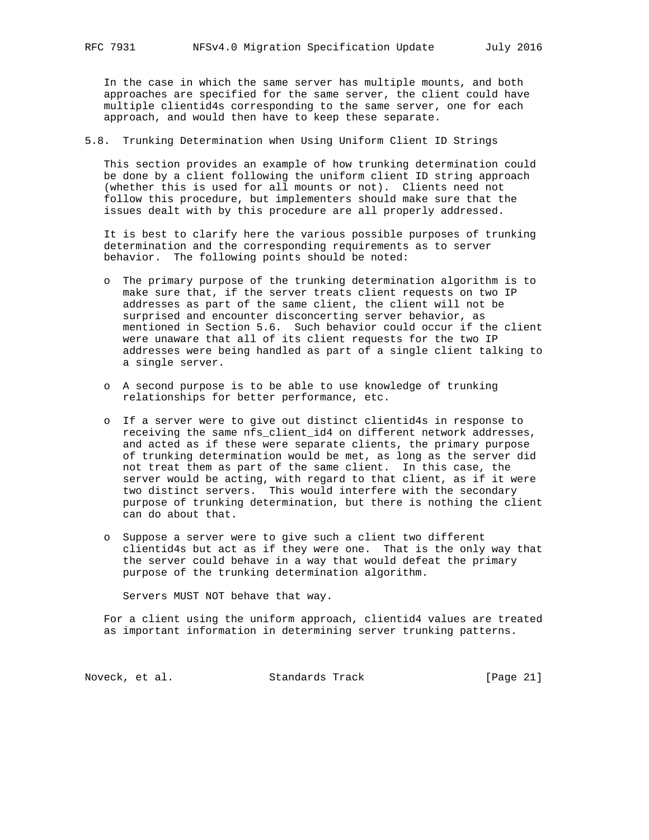In the case in which the same server has multiple mounts, and both approaches are specified for the same server, the client could have multiple clientid4s corresponding to the same server, one for each approach, and would then have to keep these separate.

5.8. Trunking Determination when Using Uniform Client ID Strings

 This section provides an example of how trunking determination could be done by a client following the uniform client ID string approach (whether this is used for all mounts or not). Clients need not follow this procedure, but implementers should make sure that the issues dealt with by this procedure are all properly addressed.

 It is best to clarify here the various possible purposes of trunking determination and the corresponding requirements as to server behavior. The following points should be noted:

- o The primary purpose of the trunking determination algorithm is to make sure that, if the server treats client requests on two IP addresses as part of the same client, the client will not be surprised and encounter disconcerting server behavior, as mentioned in Section 5.6. Such behavior could occur if the client were unaware that all of its client requests for the two IP addresses were being handled as part of a single client talking to a single server.
- o A second purpose is to be able to use knowledge of trunking relationships for better performance, etc.
- o If a server were to give out distinct clientid4s in response to receiving the same nfs\_client\_id4 on different network addresses, and acted as if these were separate clients, the primary purpose of trunking determination would be met, as long as the server did not treat them as part of the same client. In this case, the server would be acting, with regard to that client, as if it were two distinct servers. This would interfere with the secondary purpose of trunking determination, but there is nothing the client can do about that.
- o Suppose a server were to give such a client two different clientid4s but act as if they were one. That is the only way that the server could behave in a way that would defeat the primary purpose of the trunking determination algorithm.

Servers MUST NOT behave that way.

 For a client using the uniform approach, clientid4 values are treated as important information in determining server trunking patterns.

Noveck, et al. Standards Track [Page 21]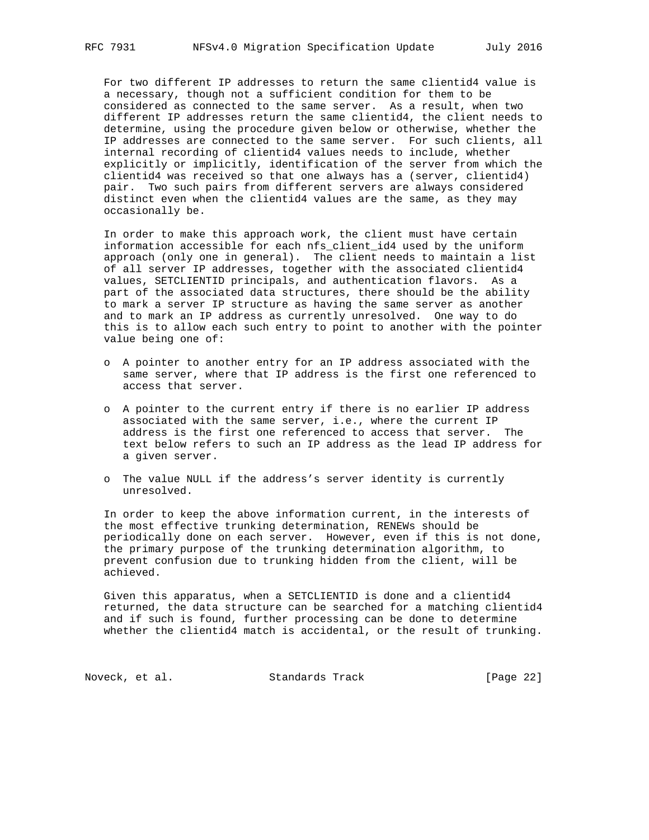For two different IP addresses to return the same clientid4 value is a necessary, though not a sufficient condition for them to be considered as connected to the same server. As a result, when two different IP addresses return the same clientid4, the client needs to determine, using the procedure given below or otherwise, whether the IP addresses are connected to the same server. For such clients, all internal recording of clientid4 values needs to include, whether explicitly or implicitly, identification of the server from which the clientid4 was received so that one always has a (server, clientid4) pair. Two such pairs from different servers are always considered distinct even when the clientid4 values are the same, as they may occasionally be.

 In order to make this approach work, the client must have certain information accessible for each nfs\_client\_id4 used by the uniform approach (only one in general). The client needs to maintain a list of all server IP addresses, together with the associated clientid4 values, SETCLIENTID principals, and authentication flavors. As a part of the associated data structures, there should be the ability to mark a server IP structure as having the same server as another and to mark an IP address as currently unresolved. One way to do this is to allow each such entry to point to another with the pointer value being one of:

- o A pointer to another entry for an IP address associated with the same server, where that IP address is the first one referenced to access that server.
- o A pointer to the current entry if there is no earlier IP address associated with the same server, i.e., where the current IP address is the first one referenced to access that server. The text below refers to such an IP address as the lead IP address for a given server.
- o The value NULL if the address's server identity is currently unresolved.

 In order to keep the above information current, in the interests of the most effective trunking determination, RENEWs should be periodically done on each server. However, even if this is not done, the primary purpose of the trunking determination algorithm, to prevent confusion due to trunking hidden from the client, will be achieved.

 Given this apparatus, when a SETCLIENTID is done and a clientid4 returned, the data structure can be searched for a matching clientid4 and if such is found, further processing can be done to determine whether the clientid4 match is accidental, or the result of trunking.

Noveck, et al. Standards Track [Page 22]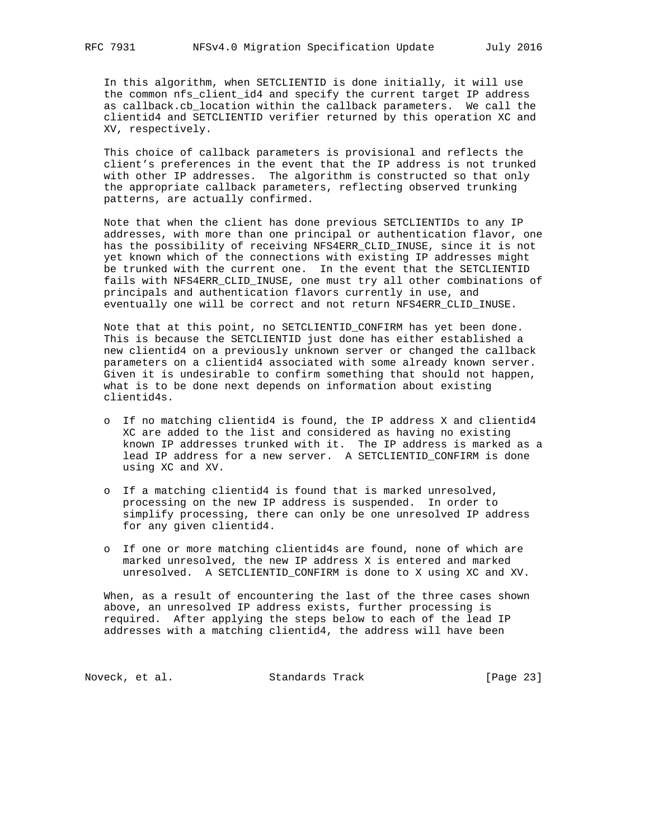In this algorithm, when SETCLIENTID is done initially, it will use the common nfs\_client\_id4 and specify the current target IP address as callback.cb\_location within the callback parameters. We call the clientid4 and SETCLIENTID verifier returned by this operation XC and XV, respectively.

 This choice of callback parameters is provisional and reflects the client's preferences in the event that the IP address is not trunked with other IP addresses. The algorithm is constructed so that only the appropriate callback parameters, reflecting observed trunking patterns, are actually confirmed.

 Note that when the client has done previous SETCLIENTIDs to any IP addresses, with more than one principal or authentication flavor, one has the possibility of receiving NFS4ERR\_CLID\_INUSE, since it is not yet known which of the connections with existing IP addresses might be trunked with the current one. In the event that the SETCLIENTID fails with NFS4ERR\_CLID\_INUSE, one must try all other combinations of principals and authentication flavors currently in use, and eventually one will be correct and not return NFS4ERR\_CLID\_INUSE.

 Note that at this point, no SETCLIENTID\_CONFIRM has yet been done. This is because the SETCLIENTID just done has either established a new clientid4 on a previously unknown server or changed the callback parameters on a clientid4 associated with some already known server. Given it is undesirable to confirm something that should not happen, what is to be done next depends on information about existing clientid4s.

- o If no matching clientid4 is found, the IP address X and clientid4 XC are added to the list and considered as having no existing known IP addresses trunked with it. The IP address is marked as a lead IP address for a new server. A SETCLIENTID\_CONFIRM is done using XC and XV.
- o If a matching clientid4 is found that is marked unresolved, processing on the new IP address is suspended. In order to simplify processing, there can only be one unresolved IP address for any given clientid4.
- o If one or more matching clientid4s are found, none of which are marked unresolved, the new IP address X is entered and marked unresolved. A SETCLIENTID\_CONFIRM is done to X using XC and XV.

 When, as a result of encountering the last of the three cases shown above, an unresolved IP address exists, further processing is required. After applying the steps below to each of the lead IP addresses with a matching clientid4, the address will have been

Noveck, et al. Standards Track [Page 23]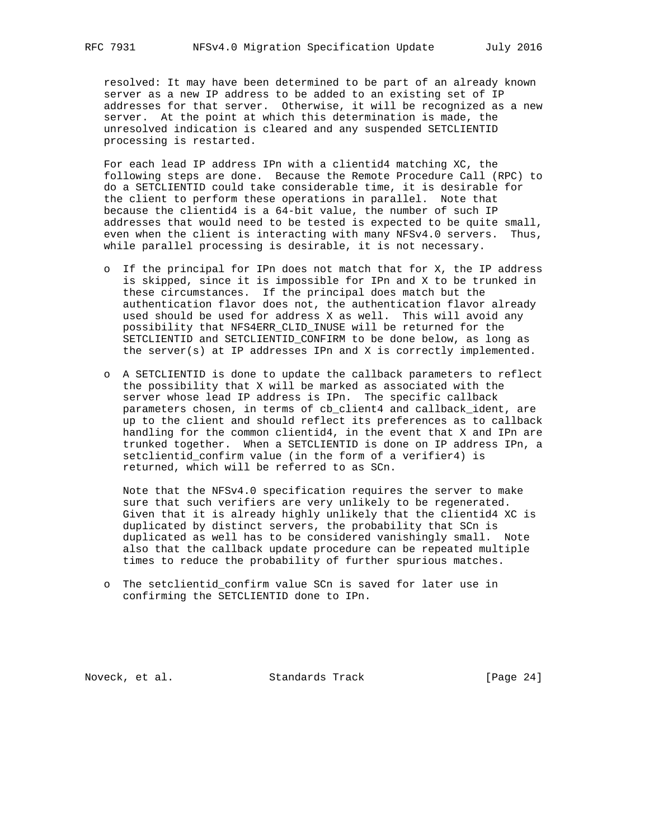resolved: It may have been determined to be part of an already known server as a new IP address to be added to an existing set of IP addresses for that server. Otherwise, it will be recognized as a new server. At the point at which this determination is made, the unresolved indication is cleared and any suspended SETCLIENTID processing is restarted.

 For each lead IP address IPn with a clientid4 matching XC, the following steps are done. Because the Remote Procedure Call (RPC) to do a SETCLIENTID could take considerable time, it is desirable for the client to perform these operations in parallel. Note that because the clientid4 is a 64-bit value, the number of such IP addresses that would need to be tested is expected to be quite small, even when the client is interacting with many NFSv4.0 servers. Thus, while parallel processing is desirable, it is not necessary.

- o If the principal for IPn does not match that for X, the IP address is skipped, since it is impossible for IPn and X to be trunked in these circumstances. If the principal does match but the authentication flavor does not, the authentication flavor already used should be used for address X as well. This will avoid any possibility that NFS4ERR\_CLID\_INUSE will be returned for the SETCLIENTID and SETCLIENTID\_CONFIRM to be done below, as long as the server(s) at IP addresses IPn and X is correctly implemented.
- o A SETCLIENTID is done to update the callback parameters to reflect the possibility that X will be marked as associated with the server whose lead IP address is IPn. The specific callback parameters chosen, in terms of cb\_client4 and callback\_ident, are up to the client and should reflect its preferences as to callback handling for the common clientid4, in the event that X and IPn are trunked together. When a SETCLIENTID is done on IP address IPn, a setclientid\_confirm value (in the form of a verifier4) is returned, which will be referred to as SCn.

 Note that the NFSv4.0 specification requires the server to make sure that such verifiers are very unlikely to be regenerated. Given that it is already highly unlikely that the clientid4 XC is duplicated by distinct servers, the probability that SCn is duplicated as well has to be considered vanishingly small. Note also that the callback update procedure can be repeated multiple times to reduce the probability of further spurious matches.

 o The setclientid\_confirm value SCn is saved for later use in confirming the SETCLIENTID done to IPn.

Noveck, et al. Standards Track [Page 24]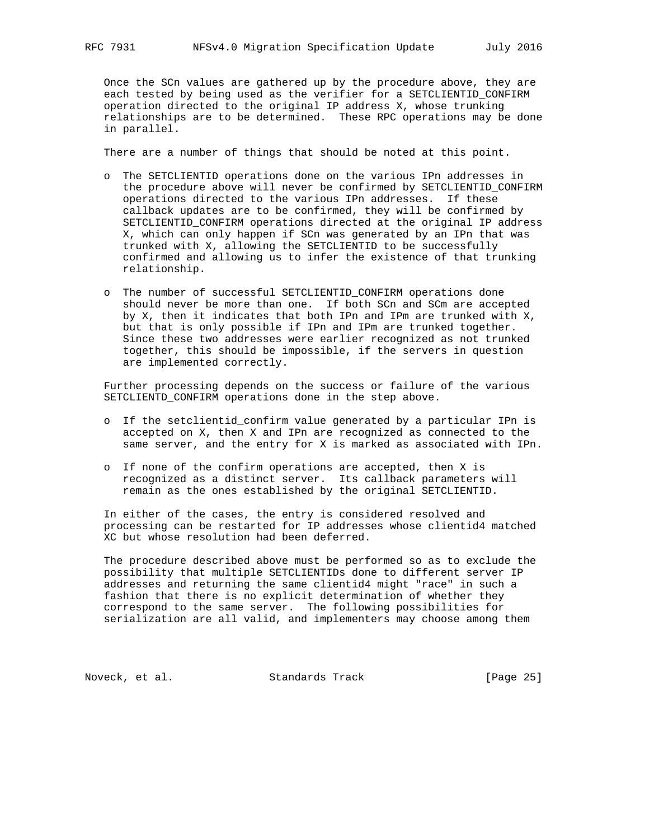Once the SCn values are gathered up by the procedure above, they are each tested by being used as the verifier for a SETCLIENTID\_CONFIRM operation directed to the original IP address X, whose trunking relationships are to be determined. These RPC operations may be done in parallel.

There are a number of things that should be noted at this point.

- o The SETCLIENTID operations done on the various IPn addresses in the procedure above will never be confirmed by SETCLIENTID\_CONFIRM operations directed to the various IPn addresses. If these callback updates are to be confirmed, they will be confirmed by SETCLIENTID\_CONFIRM operations directed at the original IP address X, which can only happen if SCn was generated by an IPn that was trunked with X, allowing the SETCLIENTID to be successfully confirmed and allowing us to infer the existence of that trunking relationship.
- o The number of successful SETCLIENTID\_CONFIRM operations done should never be more than one. If both SCn and SCm are accepted by X, then it indicates that both IPn and IPm are trunked with X, but that is only possible if IPn and IPm are trunked together. Since these two addresses were earlier recognized as not trunked together, this should be impossible, if the servers in question are implemented correctly.

 Further processing depends on the success or failure of the various SETCLIENTD\_CONFIRM operations done in the step above.

- o If the setclientid\_confirm value generated by a particular IPn is accepted on X, then X and IPn are recognized as connected to the same server, and the entry for X is marked as associated with IPn.
- o If none of the confirm operations are accepted, then X is recognized as a distinct server. Its callback parameters will remain as the ones established by the original SETCLIENTID.

 In either of the cases, the entry is considered resolved and processing can be restarted for IP addresses whose clientid4 matched XC but whose resolution had been deferred.

 The procedure described above must be performed so as to exclude the possibility that multiple SETCLIENTIDs done to different server IP addresses and returning the same clientid4 might "race" in such a fashion that there is no explicit determination of whether they correspond to the same server. The following possibilities for serialization are all valid, and implementers may choose among them

Noveck, et al. Standards Track [Page 25]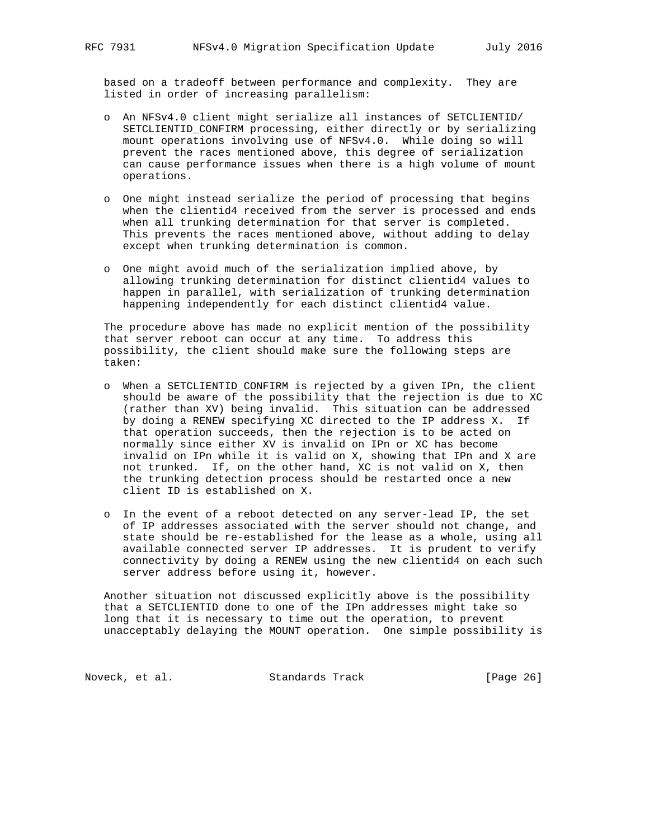based on a tradeoff between performance and complexity. They are listed in order of increasing parallelism:

- o An NFSv4.0 client might serialize all instances of SETCLIENTID/ SETCLIENTID\_CONFIRM processing, either directly or by serializing mount operations involving use of NFSv4.0. While doing so will prevent the races mentioned above, this degree of serialization can cause performance issues when there is a high volume of mount operations.
- o One might instead serialize the period of processing that begins when the clientid4 received from the server is processed and ends when all trunking determination for that server is completed. This prevents the races mentioned above, without adding to delay except when trunking determination is common.
- o One might avoid much of the serialization implied above, by allowing trunking determination for distinct clientid4 values to happen in parallel, with serialization of trunking determination happening independently for each distinct clientid4 value.

 The procedure above has made no explicit mention of the possibility that server reboot can occur at any time. To address this possibility, the client should make sure the following steps are taken:

- o When a SETCLIENTID\_CONFIRM is rejected by a given IPn, the client should be aware of the possibility that the rejection is due to XC (rather than XV) being invalid. This situation can be addressed by doing a RENEW specifying XC directed to the IP address X. If that operation succeeds, then the rejection is to be acted on normally since either XV is invalid on IPn or XC has become invalid on IPn while it is valid on X, showing that IPn and X are not trunked. If, on the other hand, XC is not valid on X, then the trunking detection process should be restarted once a new client ID is established on X.
- o In the event of a reboot detected on any server-lead IP, the set of IP addresses associated with the server should not change, and state should be re-established for the lease as a whole, using all available connected server IP addresses. It is prudent to verify connectivity by doing a RENEW using the new clientid4 on each such server address before using it, however.

 Another situation not discussed explicitly above is the possibility that a SETCLIENTID done to one of the IPn addresses might take so long that it is necessary to time out the operation, to prevent unacceptably delaying the MOUNT operation. One simple possibility is

Noveck, et al. Standards Track [Page 26]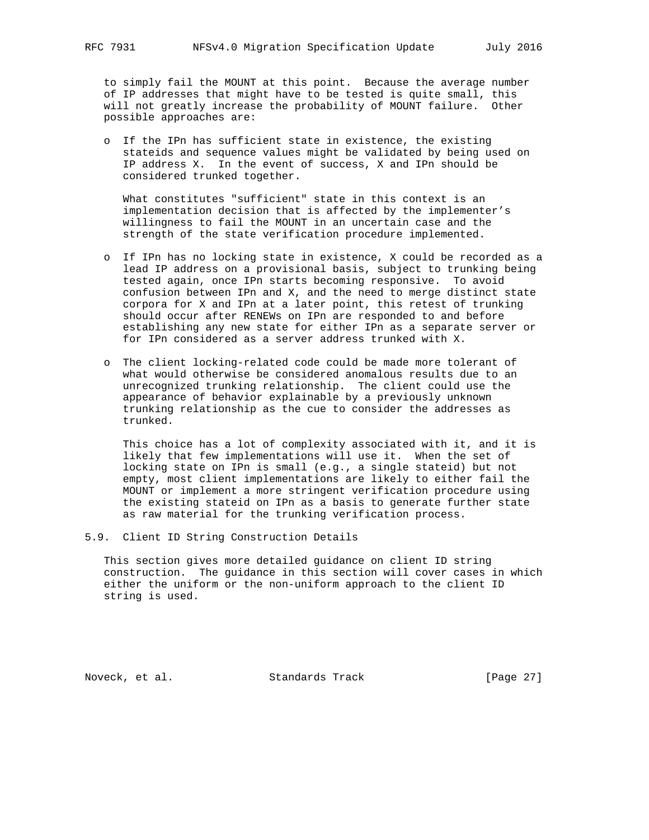to simply fail the MOUNT at this point. Because the average number of IP addresses that might have to be tested is quite small, this will not greatly increase the probability of MOUNT failure. Other possible approaches are:

 o If the IPn has sufficient state in existence, the existing stateids and sequence values might be validated by being used on IP address X. In the event of success, X and IPn should be considered trunked together.

 What constitutes "sufficient" state in this context is an implementation decision that is affected by the implementer's willingness to fail the MOUNT in an uncertain case and the strength of the state verification procedure implemented.

- o If IPn has no locking state in existence, X could be recorded as a lead IP address on a provisional basis, subject to trunking being tested again, once IPn starts becoming responsive. To avoid confusion between IPn and X, and the need to merge distinct state corpora for X and IPn at a later point, this retest of trunking should occur after RENEWs on IPn are responded to and before establishing any new state for either IPn as a separate server or for IPn considered as a server address trunked with X.
- o The client locking-related code could be made more tolerant of what would otherwise be considered anomalous results due to an unrecognized trunking relationship. The client could use the appearance of behavior explainable by a previously unknown trunking relationship as the cue to consider the addresses as trunked.

 This choice has a lot of complexity associated with it, and it is likely that few implementations will use it. When the set of locking state on IPn is small (e.g., a single stateid) but not empty, most client implementations are likely to either fail the MOUNT or implement a more stringent verification procedure using the existing stateid on IPn as a basis to generate further state as raw material for the trunking verification process.

5.9. Client ID String Construction Details

 This section gives more detailed guidance on client ID string construction. The guidance in this section will cover cases in which either the uniform or the non-uniform approach to the client ID string is used.

Noveck, et al. Standards Track [Page 27]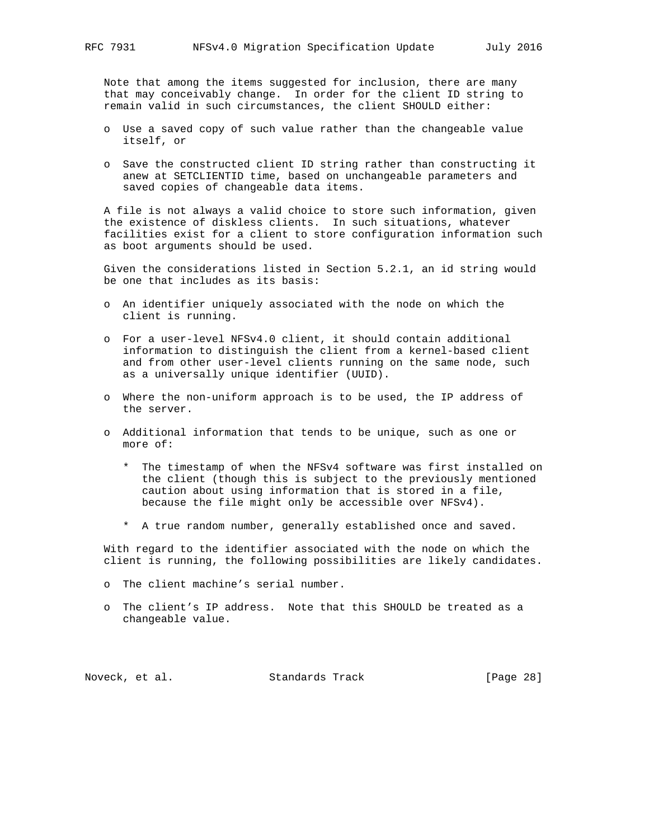Note that among the items suggested for inclusion, there are many that may conceivably change. In order for the client ID string to remain valid in such circumstances, the client SHOULD either:

- o Use a saved copy of such value rather than the changeable value itself, or
- o Save the constructed client ID string rather than constructing it anew at SETCLIENTID time, based on unchangeable parameters and saved copies of changeable data items.

 A file is not always a valid choice to store such information, given the existence of diskless clients. In such situations, whatever facilities exist for a client to store configuration information such as boot arguments should be used.

 Given the considerations listed in Section 5.2.1, an id string would be one that includes as its basis:

- o An identifier uniquely associated with the node on which the client is running.
- o For a user-level NFSv4.0 client, it should contain additional information to distinguish the client from a kernel-based client and from other user-level clients running on the same node, such as a universally unique identifier (UUID).
- o Where the non-uniform approach is to be used, the IP address of the server.
- o Additional information that tends to be unique, such as one or more of:
	- \* The timestamp of when the NFSv4 software was first installed on the client (though this is subject to the previously mentioned caution about using information that is stored in a file, because the file might only be accessible over NFSv4).
	- \* A true random number, generally established once and saved.

 With regard to the identifier associated with the node on which the client is running, the following possibilities are likely candidates.

- o The client machine's serial number.
- o The client's IP address. Note that this SHOULD be treated as a changeable value.

Noveck, et al. Standards Track [Page 28]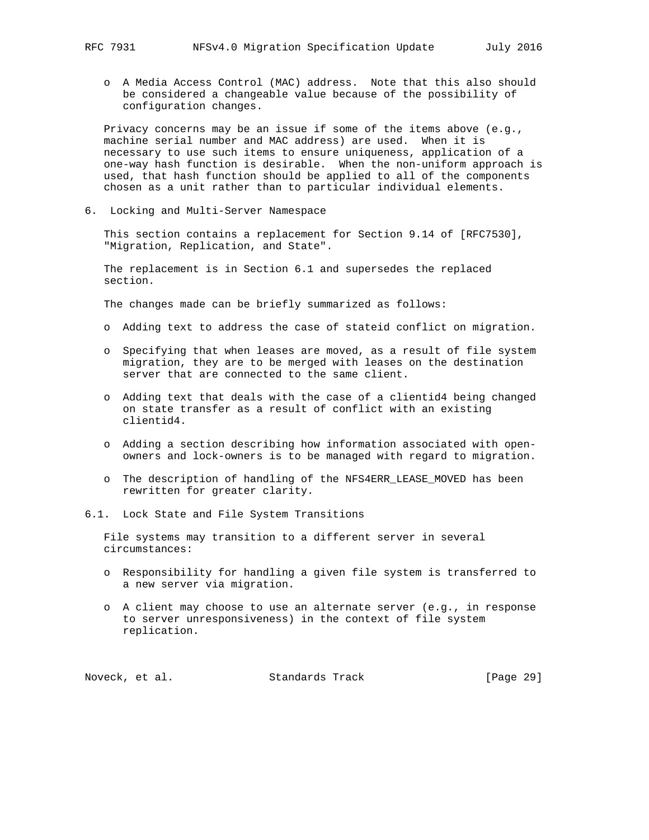o A Media Access Control (MAC) address. Note that this also should be considered a changeable value because of the possibility of configuration changes.

 Privacy concerns may be an issue if some of the items above (e.g., machine serial number and MAC address) are used. When it is necessary to use such items to ensure uniqueness, application of a one-way hash function is desirable. When the non-uniform approach is used, that hash function should be applied to all of the components chosen as a unit rather than to particular individual elements.

6. Locking and Multi-Server Namespace

 This section contains a replacement for Section 9.14 of [RFC7530], "Migration, Replication, and State".

 The replacement is in Section 6.1 and supersedes the replaced section.

The changes made can be briefly summarized as follows:

- o Adding text to address the case of stateid conflict on migration.
- o Specifying that when leases are moved, as a result of file system migration, they are to be merged with leases on the destination server that are connected to the same client.
- o Adding text that deals with the case of a clientid4 being changed on state transfer as a result of conflict with an existing clientid4.
- o Adding a section describing how information associated with open owners and lock-owners is to be managed with regard to migration.
- o The description of handling of the NFS4ERR\_LEASE\_MOVED has been rewritten for greater clarity.
- 6.1. Lock State and File System Transitions

 File systems may transition to a different server in several circumstances:

- o Responsibility for handling a given file system is transferred to a new server via migration.
- o A client may choose to use an alternate server (e.g., in response to server unresponsiveness) in the context of file system replication.

Noveck, et al. Standards Track [Page 29]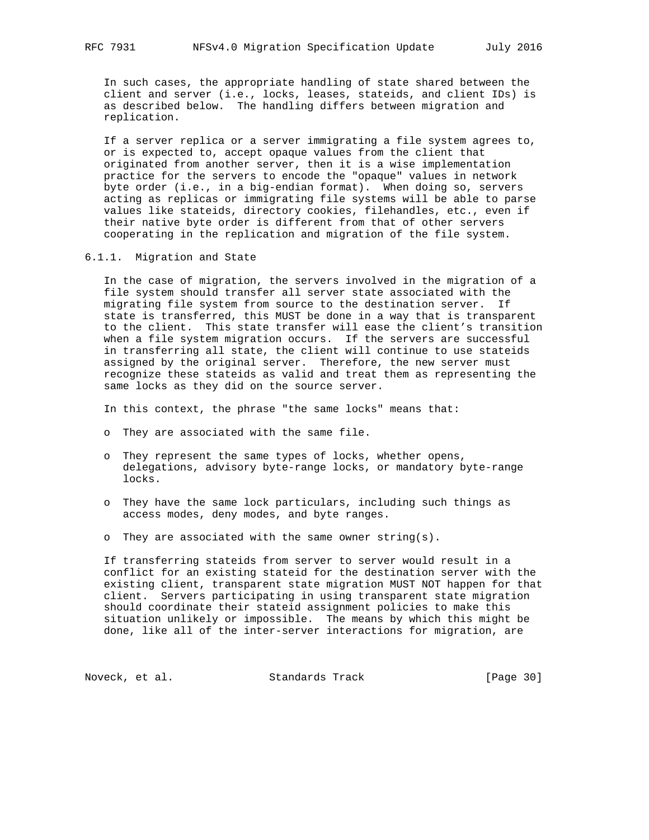In such cases, the appropriate handling of state shared between the client and server (i.e., locks, leases, stateids, and client IDs) is as described below. The handling differs between migration and replication.

 If a server replica or a server immigrating a file system agrees to, or is expected to, accept opaque values from the client that originated from another server, then it is a wise implementation practice for the servers to encode the "opaque" values in network byte order (i.e., in a big-endian format). When doing so, servers acting as replicas or immigrating file systems will be able to parse values like stateids, directory cookies, filehandles, etc., even if their native byte order is different from that of other servers cooperating in the replication and migration of the file system.

6.1.1. Migration and State

 In the case of migration, the servers involved in the migration of a file system should transfer all server state associated with the migrating file system from source to the destination server. If state is transferred, this MUST be done in a way that is transparent to the client. This state transfer will ease the client's transition when a file system migration occurs. If the servers are successful in transferring all state, the client will continue to use stateids assigned by the original server. Therefore, the new server must recognize these stateids as valid and treat them as representing the same locks as they did on the source server.

In this context, the phrase "the same locks" means that:

- o They are associated with the same file.
- o They represent the same types of locks, whether opens, delegations, advisory byte-range locks, or mandatory byte-range locks.
- o They have the same lock particulars, including such things as access modes, deny modes, and byte ranges.
- o They are associated with the same owner string(s).

 If transferring stateids from server to server would result in a conflict for an existing stateid for the destination server with the existing client, transparent state migration MUST NOT happen for that client. Servers participating in using transparent state migration should coordinate their stateid assignment policies to make this situation unlikely or impossible. The means by which this might be done, like all of the inter-server interactions for migration, are

Noveck, et al. Standards Track [Page 30]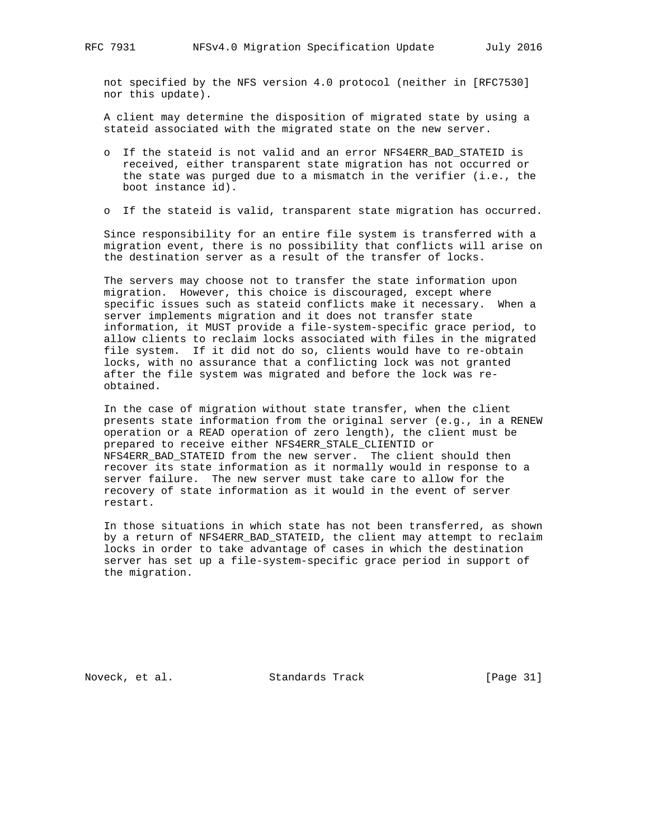not specified by the NFS version 4.0 protocol (neither in [RFC7530] nor this update).

 A client may determine the disposition of migrated state by using a stateid associated with the migrated state on the new server.

- o If the stateid is not valid and an error NFS4ERR\_BAD\_STATEID is received, either transparent state migration has not occurred or the state was purged due to a mismatch in the verifier (i.e., the boot instance id).
- o If the stateid is valid, transparent state migration has occurred.

 Since responsibility for an entire file system is transferred with a migration event, there is no possibility that conflicts will arise on the destination server as a result of the transfer of locks.

 The servers may choose not to transfer the state information upon migration. However, this choice is discouraged, except where specific issues such as stateid conflicts make it necessary. When a server implements migration and it does not transfer state information, it MUST provide a file-system-specific grace period, to allow clients to reclaim locks associated with files in the migrated file system. If it did not do so, clients would have to re-obtain locks, with no assurance that a conflicting lock was not granted after the file system was migrated and before the lock was re obtained.

 In the case of migration without state transfer, when the client presents state information from the original server (e.g., in a RENEW operation or a READ operation of zero length), the client must be prepared to receive either NFS4ERR\_STALE\_CLIENTID or NFS4ERR\_BAD\_STATEID from the new server. The client should then recover its state information as it normally would in response to a server failure. The new server must take care to allow for the recovery of state information as it would in the event of server restart.

 In those situations in which state has not been transferred, as shown by a return of NFS4ERR\_BAD\_STATEID, the client may attempt to reclaim locks in order to take advantage of cases in which the destination server has set up a file-system-specific grace period in support of the migration.

Noveck, et al. Standards Track [Page 31]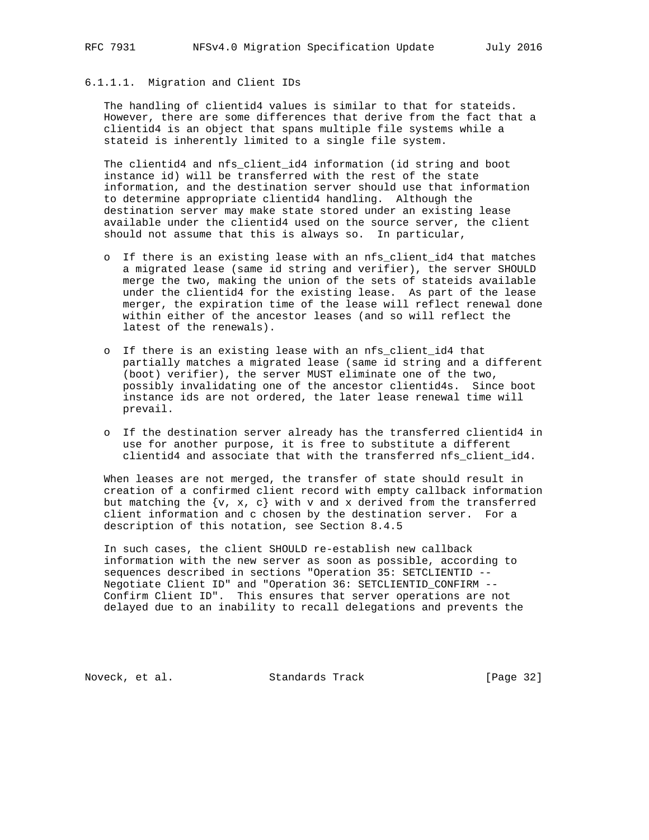## 6.1.1.1. Migration and Client IDs

 The handling of clientid4 values is similar to that for stateids. However, there are some differences that derive from the fact that a clientid4 is an object that spans multiple file systems while a stateid is inherently limited to a single file system.

 The clientid4 and nfs\_client\_id4 information (id string and boot instance id) will be transferred with the rest of the state information, and the destination server should use that information to determine appropriate clientid4 handling. Although the destination server may make state stored under an existing lease available under the clientid4 used on the source server, the client should not assume that this is always so. In particular,

- o If there is an existing lease with an nfs\_client\_id4 that matches a migrated lease (same id string and verifier), the server SHOULD merge the two, making the union of the sets of stateids available under the clientid4 for the existing lease. As part of the lease merger, the expiration time of the lease will reflect renewal done within either of the ancestor leases (and so will reflect the latest of the renewals).
- o If there is an existing lease with an nfs\_client\_id4 that partially matches a migrated lease (same id string and a different (boot) verifier), the server MUST eliminate one of the two, possibly invalidating one of the ancestor clientid4s. Since boot instance ids are not ordered, the later lease renewal time will prevail.
- o If the destination server already has the transferred clientid4 in use for another purpose, it is free to substitute a different clientid4 and associate that with the transferred nfs\_client\_id4.

 When leases are not merged, the transfer of state should result in creation of a confirmed client record with empty callback information but matching the  $\{v, x, c\}$  with v and x derived from the transferred client information and c chosen by the destination server. For a description of this notation, see Section 8.4.5

 In such cases, the client SHOULD re-establish new callback information with the new server as soon as possible, according to sequences described in sections "Operation 35: SETCLIENTID -- Negotiate Client ID" and "Operation 36: SETCLIENTID\_CONFIRM -- Confirm Client ID". This ensures that server operations are not delayed due to an inability to recall delegations and prevents the

Noveck, et al. Standards Track [Page 32]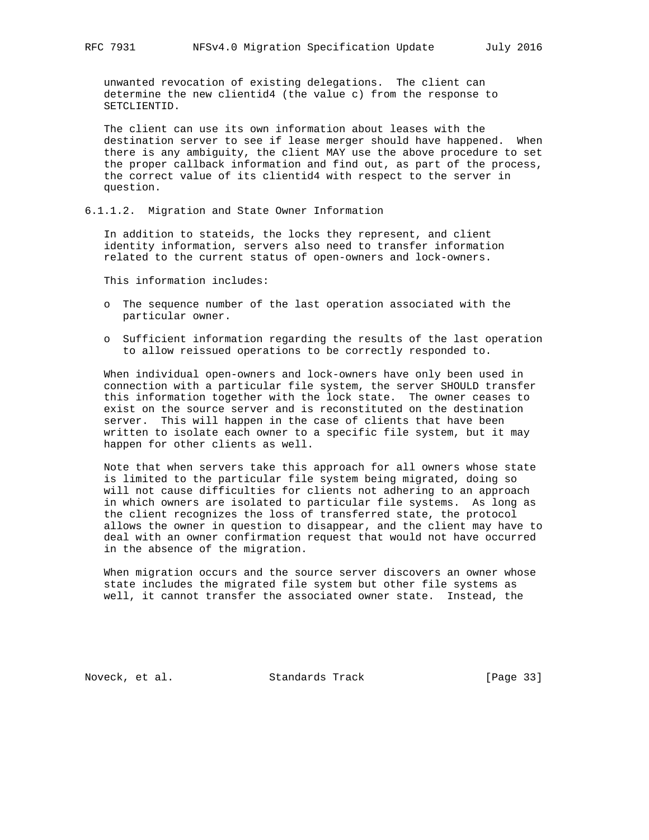unwanted revocation of existing delegations. The client can determine the new clientid4 (the value c) from the response to SETCLIENTID.

 The client can use its own information about leases with the destination server to see if lease merger should have happened. When there is any ambiguity, the client MAY use the above procedure to set the proper callback information and find out, as part of the process, the correct value of its clientid4 with respect to the server in question.

6.1.1.2. Migration and State Owner Information

 In addition to stateids, the locks they represent, and client identity information, servers also need to transfer information related to the current status of open-owners and lock-owners.

This information includes:

- o The sequence number of the last operation associated with the particular owner.
- o Sufficient information regarding the results of the last operation to allow reissued operations to be correctly responded to.

 When individual open-owners and lock-owners have only been used in connection with a particular file system, the server SHOULD transfer this information together with the lock state. The owner ceases to exist on the source server and is reconstituted on the destination server. This will happen in the case of clients that have been written to isolate each owner to a specific file system, but it may happen for other clients as well.

 Note that when servers take this approach for all owners whose state is limited to the particular file system being migrated, doing so will not cause difficulties for clients not adhering to an approach in which owners are isolated to particular file systems. As long as the client recognizes the loss of transferred state, the protocol allows the owner in question to disappear, and the client may have to deal with an owner confirmation request that would not have occurred in the absence of the migration.

 When migration occurs and the source server discovers an owner whose state includes the migrated file system but other file systems as well, it cannot transfer the associated owner state. Instead, the

Noveck, et al. Standards Track [Page 33]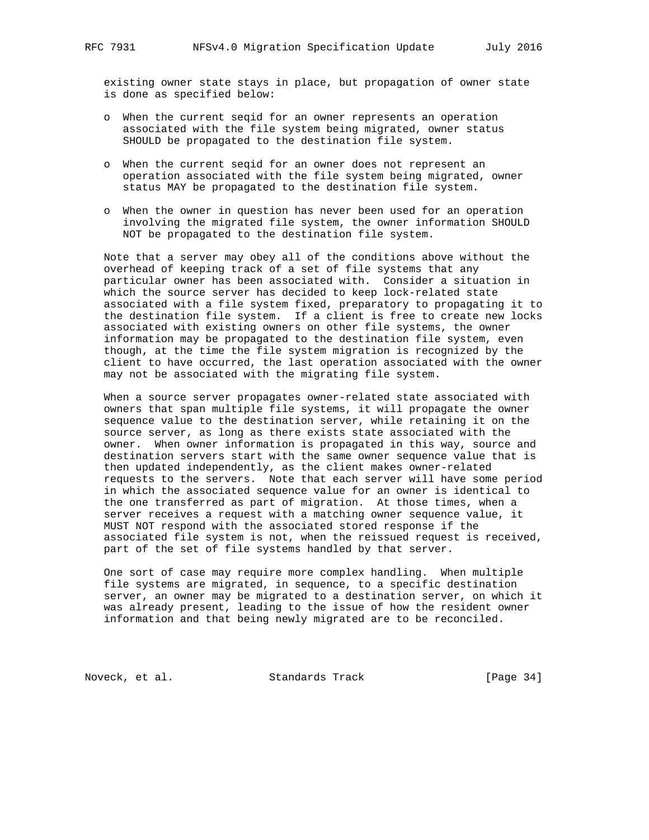existing owner state stays in place, but propagation of owner state is done as specified below:

- o When the current seqid for an owner represents an operation associated with the file system being migrated, owner status SHOULD be propagated to the destination file system.
- o When the current seqid for an owner does not represent an operation associated with the file system being migrated, owner status MAY be propagated to the destination file system.
- o When the owner in question has never been used for an operation involving the migrated file system, the owner information SHOULD NOT be propagated to the destination file system.

 Note that a server may obey all of the conditions above without the overhead of keeping track of a set of file systems that any particular owner has been associated with. Consider a situation in which the source server has decided to keep lock-related state associated with a file system fixed, preparatory to propagating it to the destination file system. If a client is free to create new locks associated with existing owners on other file systems, the owner information may be propagated to the destination file system, even though, at the time the file system migration is recognized by the client to have occurred, the last operation associated with the owner may not be associated with the migrating file system.

 When a source server propagates owner-related state associated with owners that span multiple file systems, it will propagate the owner sequence value to the destination server, while retaining it on the source server, as long as there exists state associated with the owner. When owner information is propagated in this way, source and destination servers start with the same owner sequence value that is then updated independently, as the client makes owner-related requests to the servers. Note that each server will have some period in which the associated sequence value for an owner is identical to the one transferred as part of migration. At those times, when a server receives a request with a matching owner sequence value, it MUST NOT respond with the associated stored response if the associated file system is not, when the reissued request is received, part of the set of file systems handled by that server.

 One sort of case may require more complex handling. When multiple file systems are migrated, in sequence, to a specific destination server, an owner may be migrated to a destination server, on which it was already present, leading to the issue of how the resident owner information and that being newly migrated are to be reconciled.

Noveck, et al. Standards Track [Page 34]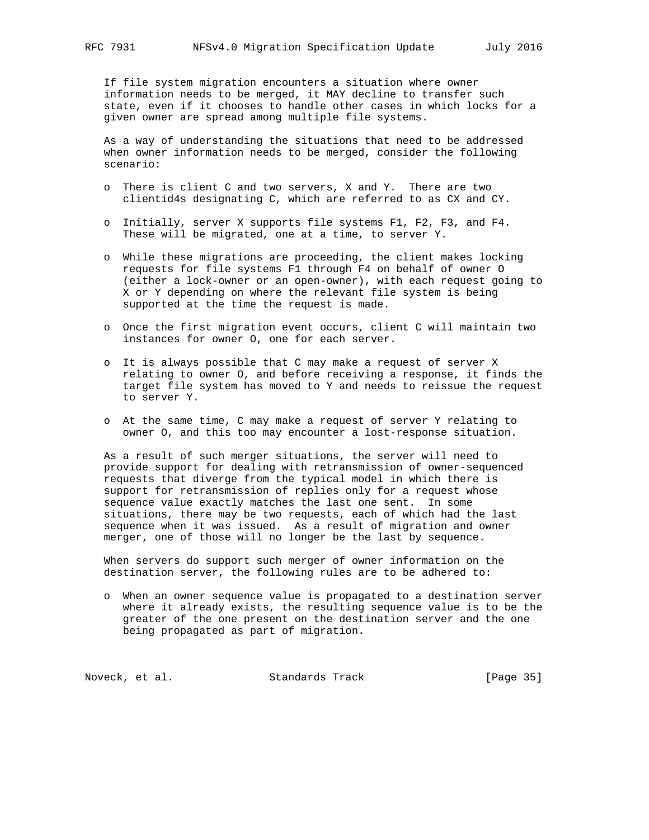If file system migration encounters a situation where owner information needs to be merged, it MAY decline to transfer such state, even if it chooses to handle other cases in which locks for a given owner are spread among multiple file systems.

 As a way of understanding the situations that need to be addressed when owner information needs to be merged, consider the following scenario:

- o There is client C and two servers, X and Y. There are two clientid4s designating C, which are referred to as CX and CY.
- o Initially, server X supports file systems F1, F2, F3, and F4. These will be migrated, one at a time, to server Y.
- o While these migrations are proceeding, the client makes locking requests for file systems F1 through F4 on behalf of owner O (either a lock-owner or an open-owner), with each request going to X or Y depending on where the relevant file system is being supported at the time the request is made.
- o Once the first migration event occurs, client C will maintain two instances for owner O, one for each server.
- o It is always possible that C may make a request of server X relating to owner O, and before receiving a response, it finds the target file system has moved to Y and needs to reissue the request to server Y.
- o At the same time, C may make a request of server Y relating to owner O, and this too may encounter a lost-response situation.

 As a result of such merger situations, the server will need to provide support for dealing with retransmission of owner-sequenced requests that diverge from the typical model in which there is support for retransmission of replies only for a request whose sequence value exactly matches the last one sent. In some situations, there may be two requests, each of which had the last sequence when it was issued. As a result of migration and owner merger, one of those will no longer be the last by sequence.

 When servers do support such merger of owner information on the destination server, the following rules are to be adhered to:

 o When an owner sequence value is propagated to a destination server where it already exists, the resulting sequence value is to be the greater of the one present on the destination server and the one being propagated as part of migration.

Noveck, et al. Standards Track [Page 35]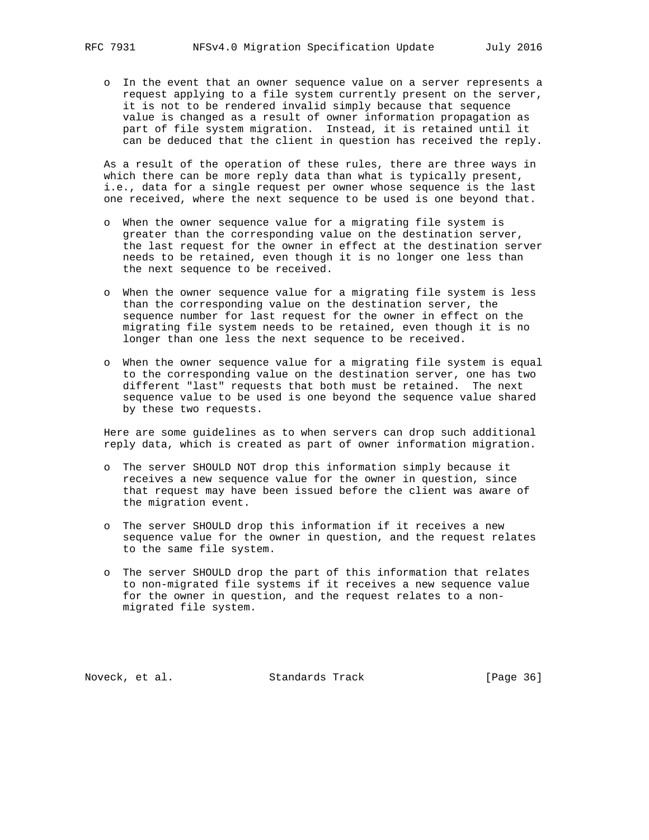o In the event that an owner sequence value on a server represents a request applying to a file system currently present on the server, it is not to be rendered invalid simply because that sequence value is changed as a result of owner information propagation as part of file system migration. Instead, it is retained until it can be deduced that the client in question has received the reply.

 As a result of the operation of these rules, there are three ways in which there can be more reply data than what is typically present, i.e., data for a single request per owner whose sequence is the last one received, where the next sequence to be used is one beyond that.

- o When the owner sequence value for a migrating file system is greater than the corresponding value on the destination server, the last request for the owner in effect at the destination server needs to be retained, even though it is no longer one less than the next sequence to be received.
- o When the owner sequence value for a migrating file system is less than the corresponding value on the destination server, the sequence number for last request for the owner in effect on the migrating file system needs to be retained, even though it is no longer than one less the next sequence to be received.
- o When the owner sequence value for a migrating file system is equal to the corresponding value on the destination server, one has two different "last" requests that both must be retained. The next sequence value to be used is one beyond the sequence value shared by these two requests.

 Here are some guidelines as to when servers can drop such additional reply data, which is created as part of owner information migration.

- o The server SHOULD NOT drop this information simply because it receives a new sequence value for the owner in question, since that request may have been issued before the client was aware of the migration event.
- o The server SHOULD drop this information if it receives a new sequence value for the owner in question, and the request relates to the same file system.
- o The server SHOULD drop the part of this information that relates to non-migrated file systems if it receives a new sequence value for the owner in question, and the request relates to a non migrated file system.

Noveck, et al. Standards Track [Page 36]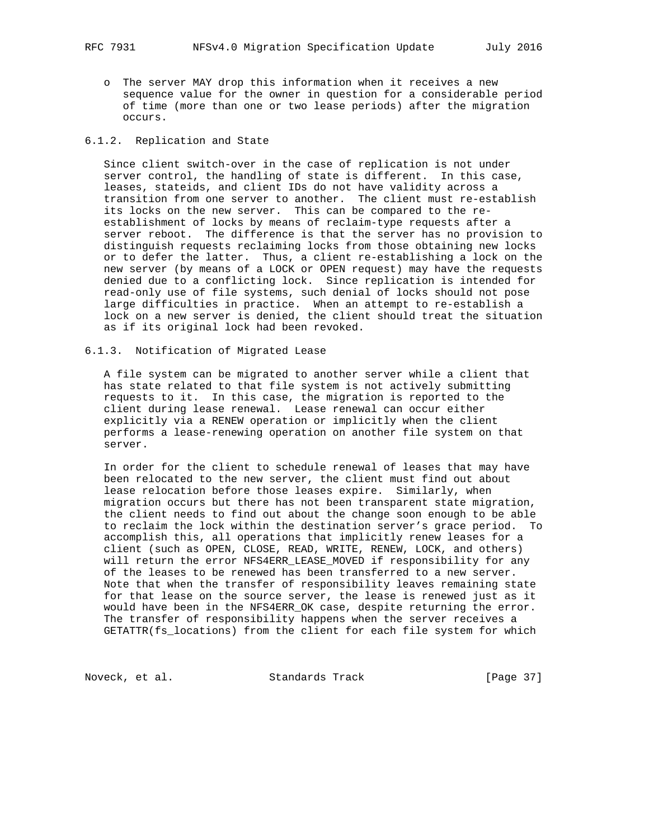o The server MAY drop this information when it receives a new sequence value for the owner in question for a considerable period of time (more than one or two lease periods) after the migration occurs.

### 6.1.2. Replication and State

 Since client switch-over in the case of replication is not under server control, the handling of state is different. In this case, leases, stateids, and client IDs do not have validity across a transition from one server to another. The client must re-establish its locks on the new server. This can be compared to the re establishment of locks by means of reclaim-type requests after a server reboot. The difference is that the server has no provision to distinguish requests reclaiming locks from those obtaining new locks or to defer the latter. Thus, a client re-establishing a lock on the new server (by means of a LOCK or OPEN request) may have the requests denied due to a conflicting lock. Since replication is intended for read-only use of file systems, such denial of locks should not pose large difficulties in practice. When an attempt to re-establish a lock on a new server is denied, the client should treat the situation as if its original lock had been revoked.

### 6.1.3. Notification of Migrated Lease

 A file system can be migrated to another server while a client that has state related to that file system is not actively submitting requests to it. In this case, the migration is reported to the client during lease renewal. Lease renewal can occur either explicitly via a RENEW operation or implicitly when the client performs a lease-renewing operation on another file system on that server.

 In order for the client to schedule renewal of leases that may have been relocated to the new server, the client must find out about lease relocation before those leases expire. Similarly, when migration occurs but there has not been transparent state migration, the client needs to find out about the change soon enough to be able to reclaim the lock within the destination server's grace period. To accomplish this, all operations that implicitly renew leases for a client (such as OPEN, CLOSE, READ, WRITE, RENEW, LOCK, and others) will return the error NFS4ERR\_LEASE\_MOVED if responsibility for any of the leases to be renewed has been transferred to a new server. Note that when the transfer of responsibility leaves remaining state for that lease on the source server, the lease is renewed just as it would have been in the NFS4ERR\_OK case, despite returning the error. The transfer of responsibility happens when the server receives a GETATTR(fs\_locations) from the client for each file system for which

Noveck, et al. Standards Track [Page 37]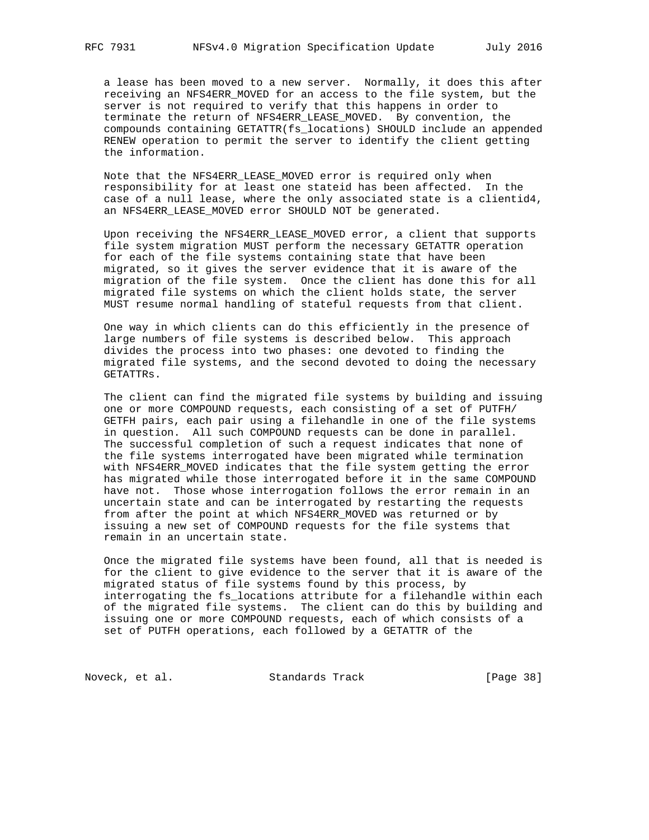a lease has been moved to a new server. Normally, it does this after receiving an NFS4ERR\_MOVED for an access to the file system, but the server is not required to verify that this happens in order to terminate the return of NFS4ERR\_LEASE\_MOVED. By convention, the compounds containing GETATTR(fs\_locations) SHOULD include an appended RENEW operation to permit the server to identify the client getting the information.

 Note that the NFS4ERR\_LEASE\_MOVED error is required only when responsibility for at least one stateid has been affected. In the case of a null lease, where the only associated state is a clientid4, an NFS4ERR\_LEASE\_MOVED error SHOULD NOT be generated.

 Upon receiving the NFS4ERR\_LEASE\_MOVED error, a client that supports file system migration MUST perform the necessary GETATTR operation for each of the file systems containing state that have been migrated, so it gives the server evidence that it is aware of the migration of the file system. Once the client has done this for all migrated file systems on which the client holds state, the server MUST resume normal handling of stateful requests from that client.

 One way in which clients can do this efficiently in the presence of large numbers of file systems is described below. This approach divides the process into two phases: one devoted to finding the migrated file systems, and the second devoted to doing the necessary GETATTRs.

 The client can find the migrated file systems by building and issuing one or more COMPOUND requests, each consisting of a set of PUTFH/ GETFH pairs, each pair using a filehandle in one of the file systems in question. All such COMPOUND requests can be done in parallel. The successful completion of such a request indicates that none of the file systems interrogated have been migrated while termination with NFS4ERR\_MOVED indicates that the file system getting the error has migrated while those interrogated before it in the same COMPOUND have not. Those whose interrogation follows the error remain in an uncertain state and can be interrogated by restarting the requests from after the point at which NFS4ERR\_MOVED was returned or by issuing a new set of COMPOUND requests for the file systems that remain in an uncertain state.

 Once the migrated file systems have been found, all that is needed is for the client to give evidence to the server that it is aware of the migrated status of file systems found by this process, by interrogating the fs\_locations attribute for a filehandle within each of the migrated file systems. The client can do this by building and issuing one or more COMPOUND requests, each of which consists of a set of PUTFH operations, each followed by a GETATTR of the

Noveck, et al. Standards Track [Page 38]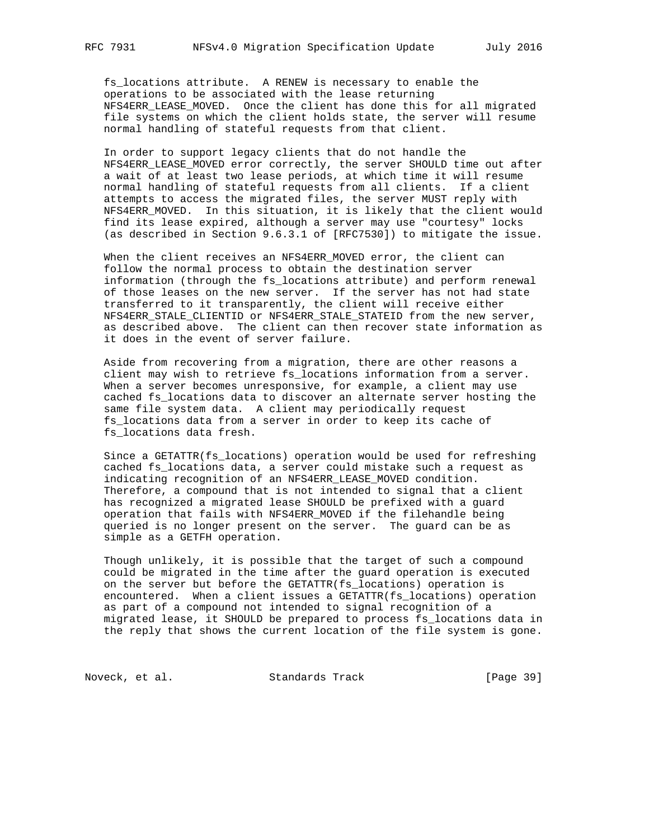fs\_locations attribute. A RENEW is necessary to enable the operations to be associated with the lease returning NFS4ERR\_LEASE\_MOVED. Once the client has done this for all migrated file systems on which the client holds state, the server will resume normal handling of stateful requests from that client.

 In order to support legacy clients that do not handle the NFS4ERR\_LEASE\_MOVED error correctly, the server SHOULD time out after a wait of at least two lease periods, at which time it will resume normal handling of stateful requests from all clients. If a client attempts to access the migrated files, the server MUST reply with NFS4ERR\_MOVED. In this situation, it is likely that the client would find its lease expired, although a server may use "courtesy" locks (as described in Section 9.6.3.1 of [RFC7530]) to mitigate the issue.

 When the client receives an NFS4ERR\_MOVED error, the client can follow the normal process to obtain the destination server information (through the fs\_locations attribute) and perform renewal of those leases on the new server. If the server has not had state transferred to it transparently, the client will receive either NFS4ERR\_STALE\_CLIENTID or NFS4ERR\_STALE\_STATEID from the new server, as described above. The client can then recover state information as it does in the event of server failure.

 Aside from recovering from a migration, there are other reasons a client may wish to retrieve fs\_locations information from a server. When a server becomes unresponsive, for example, a client may use cached fs\_locations data to discover an alternate server hosting the same file system data. A client may periodically request fs\_locations data from a server in order to keep its cache of fs\_locations data fresh.

 Since a GETATTR(fs\_locations) operation would be used for refreshing cached fs\_locations data, a server could mistake such a request as indicating recognition of an NFS4ERR\_LEASE\_MOVED condition. Therefore, a compound that is not intended to signal that a client has recognized a migrated lease SHOULD be prefixed with a guard operation that fails with NFS4ERR\_MOVED if the filehandle being queried is no longer present on the server. The guard can be as simple as a GETFH operation.

 Though unlikely, it is possible that the target of such a compound could be migrated in the time after the guard operation is executed on the server but before the GETATTR(fs\_locations) operation is encountered. When a client issues a GETATTR(fs\_locations) operation as part of a compound not intended to signal recognition of a migrated lease, it SHOULD be prepared to process fs\_locations data in the reply that shows the current location of the file system is gone.

Noveck, et al. Standards Track [Page 39]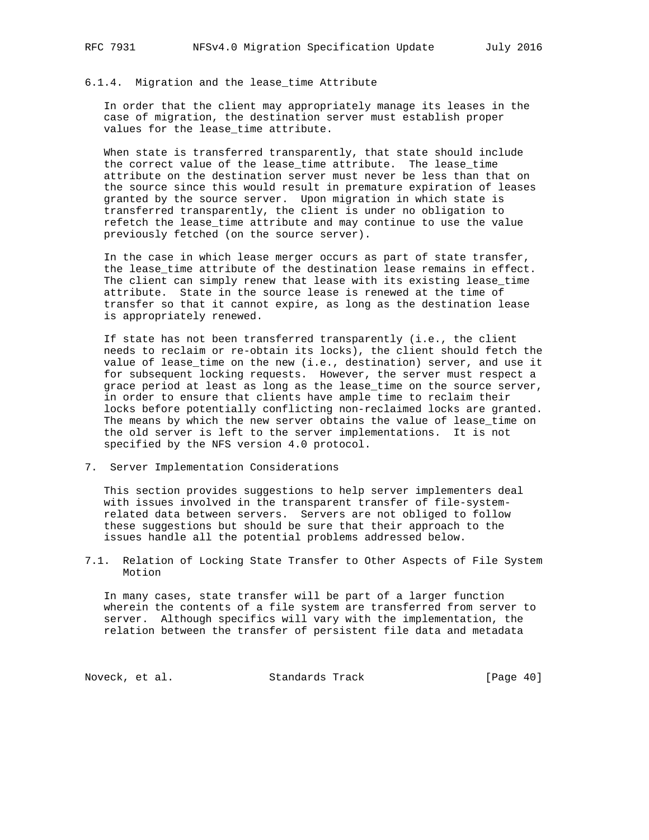#### 6.1.4. Migration and the lease\_time Attribute

 In order that the client may appropriately manage its leases in the case of migration, the destination server must establish proper values for the lease\_time attribute.

 When state is transferred transparently, that state should include the correct value of the lease\_time attribute. The lease\_time attribute on the destination server must never be less than that on the source since this would result in premature expiration of leases granted by the source server. Upon migration in which state is transferred transparently, the client is under no obligation to refetch the lease\_time attribute and may continue to use the value previously fetched (on the source server).

 In the case in which lease merger occurs as part of state transfer, the lease\_time attribute of the destination lease remains in effect. The client can simply renew that lease with its existing lease\_time attribute. State in the source lease is renewed at the time of transfer so that it cannot expire, as long as the destination lease is appropriately renewed.

 If state has not been transferred transparently (i.e., the client needs to reclaim or re-obtain its locks), the client should fetch the value of lease\_time on the new (i.e., destination) server, and use it for subsequent locking requests. However, the server must respect a grace period at least as long as the lease\_time on the source server, in order to ensure that clients have ample time to reclaim their locks before potentially conflicting non-reclaimed locks are granted. The means by which the new server obtains the value of lease\_time on the old server is left to the server implementations. It is not specified by the NFS version 4.0 protocol.

7. Server Implementation Considerations

 This section provides suggestions to help server implementers deal with issues involved in the transparent transfer of file-system related data between servers. Servers are not obliged to follow these suggestions but should be sure that their approach to the issues handle all the potential problems addressed below.

7.1. Relation of Locking State Transfer to Other Aspects of File System Motion

 In many cases, state transfer will be part of a larger function wherein the contents of a file system are transferred from server to server. Although specifics will vary with the implementation, the relation between the transfer of persistent file data and metadata

Noveck, et al. Standards Track [Page 40]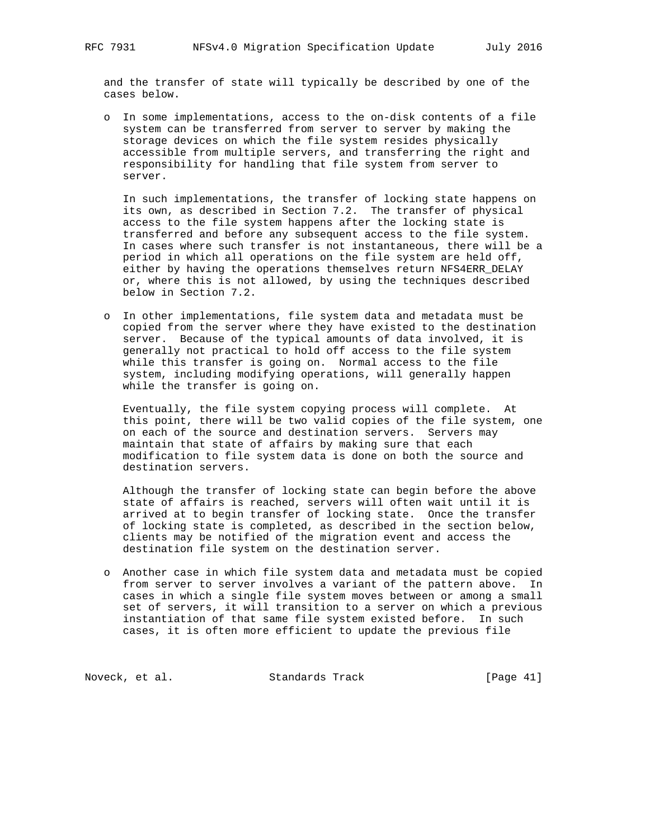and the transfer of state will typically be described by one of the cases below.

 o In some implementations, access to the on-disk contents of a file system can be transferred from server to server by making the storage devices on which the file system resides physically accessible from multiple servers, and transferring the right and responsibility for handling that file system from server to server.

 In such implementations, the transfer of locking state happens on its own, as described in Section 7.2. The transfer of physical access to the file system happens after the locking state is transferred and before any subsequent access to the file system. In cases where such transfer is not instantaneous, there will be a period in which all operations on the file system are held off, either by having the operations themselves return NFS4ERR\_DELAY or, where this is not allowed, by using the techniques described below in Section 7.2.

 o In other implementations, file system data and metadata must be copied from the server where they have existed to the destination server. Because of the typical amounts of data involved, it is generally not practical to hold off access to the file system while this transfer is going on. Normal access to the file system, including modifying operations, will generally happen while the transfer is going on.

 Eventually, the file system copying process will complete. At this point, there will be two valid copies of the file system, one on each of the source and destination servers. Servers may maintain that state of affairs by making sure that each modification to file system data is done on both the source and destination servers.

 Although the transfer of locking state can begin before the above state of affairs is reached, servers will often wait until it is arrived at to begin transfer of locking state. Once the transfer of locking state is completed, as described in the section below, clients may be notified of the migration event and access the destination file system on the destination server.

 o Another case in which file system data and metadata must be copied from server to server involves a variant of the pattern above. In cases in which a single file system moves between or among a small set of servers, it will transition to a server on which a previous instantiation of that same file system existed before. In such cases, it is often more efficient to update the previous file

Noveck, et al. Standards Track [Page 41]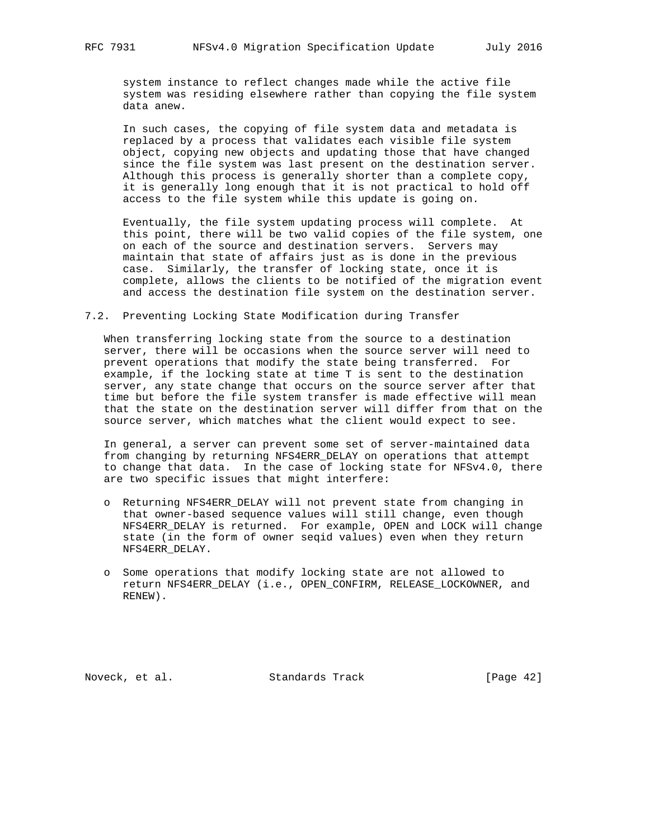system instance to reflect changes made while the active file system was residing elsewhere rather than copying the file system data anew.

 In such cases, the copying of file system data and metadata is replaced by a process that validates each visible file system object, copying new objects and updating those that have changed since the file system was last present on the destination server. Although this process is generally shorter than a complete copy, it is generally long enough that it is not practical to hold off access to the file system while this update is going on.

 Eventually, the file system updating process will complete. At this point, there will be two valid copies of the file system, one on each of the source and destination servers. Servers may maintain that state of affairs just as is done in the previous case. Similarly, the transfer of locking state, once it is complete, allows the clients to be notified of the migration event and access the destination file system on the destination server.

### 7.2. Preventing Locking State Modification during Transfer

 When transferring locking state from the source to a destination server, there will be occasions when the source server will need to prevent operations that modify the state being transferred. For example, if the locking state at time T is sent to the destination server, any state change that occurs on the source server after that time but before the file system transfer is made effective will mean that the state on the destination server will differ from that on the source server, which matches what the client would expect to see.

 In general, a server can prevent some set of server-maintained data from changing by returning NFS4ERR\_DELAY on operations that attempt to change that data. In the case of locking state for NFSv4.0, there are two specific issues that might interfere:

- o Returning NFS4ERR\_DELAY will not prevent state from changing in that owner-based sequence values will still change, even though NFS4ERR\_DELAY is returned. For example, OPEN and LOCK will change state (in the form of owner seqid values) even when they return NFS4ERR\_DELAY.
- o Some operations that modify locking state are not allowed to return NFS4ERR\_DELAY (i.e., OPEN\_CONFIRM, RELEASE\_LOCKOWNER, and RENEW).

Noveck, et al. Standards Track [Page 42]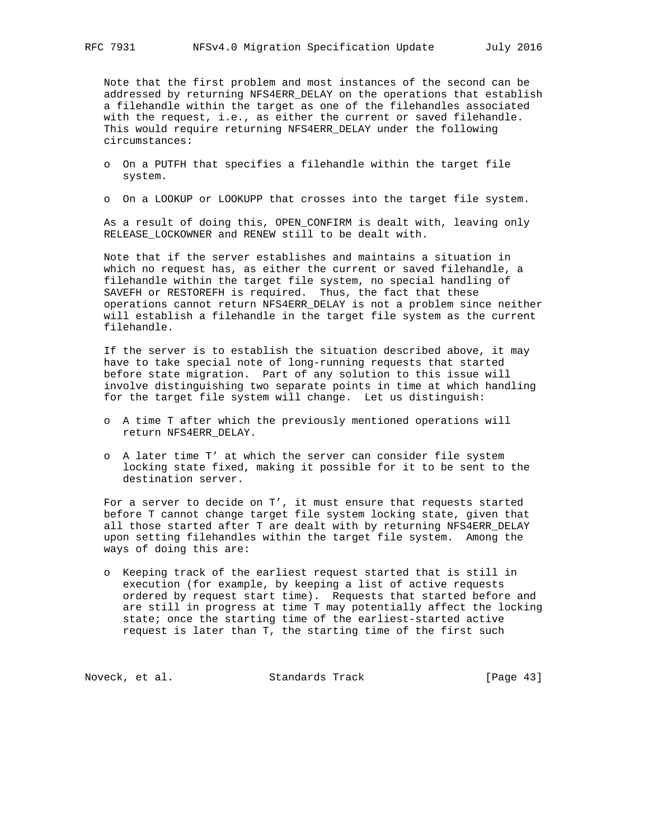Note that the first problem and most instances of the second can be addressed by returning NFS4ERR\_DELAY on the operations that establish a filehandle within the target as one of the filehandles associated with the request, i.e., as either the current or saved filehandle. This would require returning NFS4ERR\_DELAY under the following circumstances:

- o On a PUTFH that specifies a filehandle within the target file system.
- o On a LOOKUP or LOOKUPP that crosses into the target file system.

 As a result of doing this, OPEN\_CONFIRM is dealt with, leaving only RELEASE\_LOCKOWNER and RENEW still to be dealt with.

 Note that if the server establishes and maintains a situation in which no request has, as either the current or saved filehandle, a filehandle within the target file system, no special handling of SAVEFH or RESTOREFH is required. Thus, the fact that these operations cannot return NFS4ERR\_DELAY is not a problem since neither will establish a filehandle in the target file system as the current filehandle.

 If the server is to establish the situation described above, it may have to take special note of long-running requests that started before state migration. Part of any solution to this issue will involve distinguishing two separate points in time at which handling for the target file system will change. Let us distinguish:

- o A time T after which the previously mentioned operations will return NFS4ERR\_DELAY.
- o A later time T' at which the server can consider file system locking state fixed, making it possible for it to be sent to the destination server.

 For a server to decide on T', it must ensure that requests started before T cannot change target file system locking state, given that all those started after T are dealt with by returning NFS4ERR\_DELAY upon setting filehandles within the target file system. Among the ways of doing this are:

 o Keeping track of the earliest request started that is still in execution (for example, by keeping a list of active requests ordered by request start time). Requests that started before and are still in progress at time T may potentially affect the locking state; once the starting time of the earliest-started active request is later than T, the starting time of the first such

Noveck, et al. Standards Track [Page 43]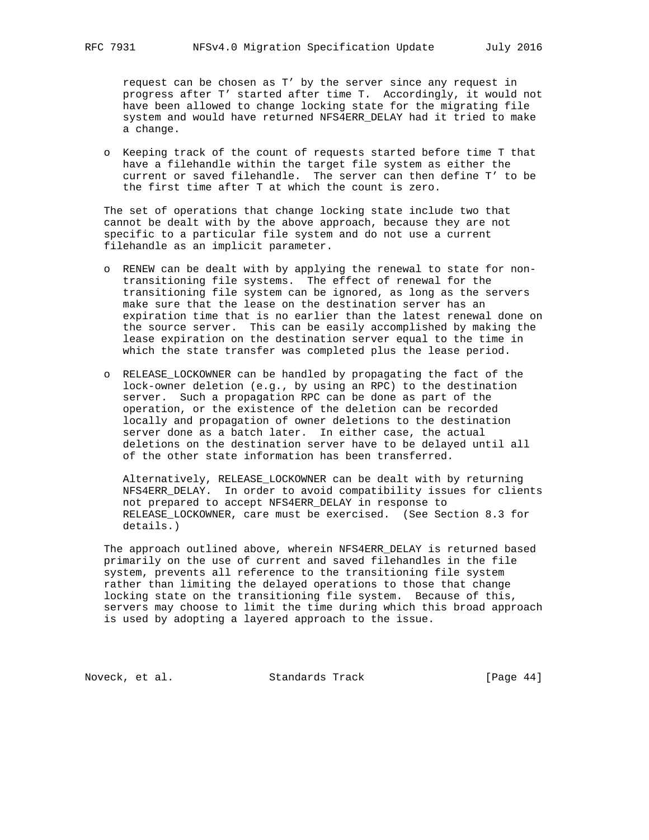request can be chosen as T' by the server since any request in progress after T' started after time T. Accordingly, it would not have been allowed to change locking state for the migrating file system and would have returned NFS4ERR\_DELAY had it tried to make a change.

 o Keeping track of the count of requests started before time T that have a filehandle within the target file system as either the current or saved filehandle. The server can then define T' to be the first time after T at which the count is zero.

 The set of operations that change locking state include two that cannot be dealt with by the above approach, because they are not specific to a particular file system and do not use a current filehandle as an implicit parameter.

- o RENEW can be dealt with by applying the renewal to state for non transitioning file systems. The effect of renewal for the transitioning file system can be ignored, as long as the servers make sure that the lease on the destination server has an expiration time that is no earlier than the latest renewal done on the source server. This can be easily accomplished by making the lease expiration on the destination server equal to the time in which the state transfer was completed plus the lease period.
- o RELEASE\_LOCKOWNER can be handled by propagating the fact of the lock-owner deletion (e.g., by using an RPC) to the destination server. Such a propagation RPC can be done as part of the operation, or the existence of the deletion can be recorded locally and propagation of owner deletions to the destination server done as a batch later. In either case, the actual deletions on the destination server have to be delayed until all of the other state information has been transferred.

 Alternatively, RELEASE\_LOCKOWNER can be dealt with by returning NFS4ERR\_DELAY. In order to avoid compatibility issues for clients not prepared to accept NFS4ERR\_DELAY in response to RELEASE\_LOCKOWNER, care must be exercised. (See Section 8.3 for details.)

 The approach outlined above, wherein NFS4ERR\_DELAY is returned based primarily on the use of current and saved filehandles in the file system, prevents all reference to the transitioning file system rather than limiting the delayed operations to those that change locking state on the transitioning file system. Because of this, servers may choose to limit the time during which this broad approach is used by adopting a layered approach to the issue.

Noveck, et al. Standards Track [Page 44]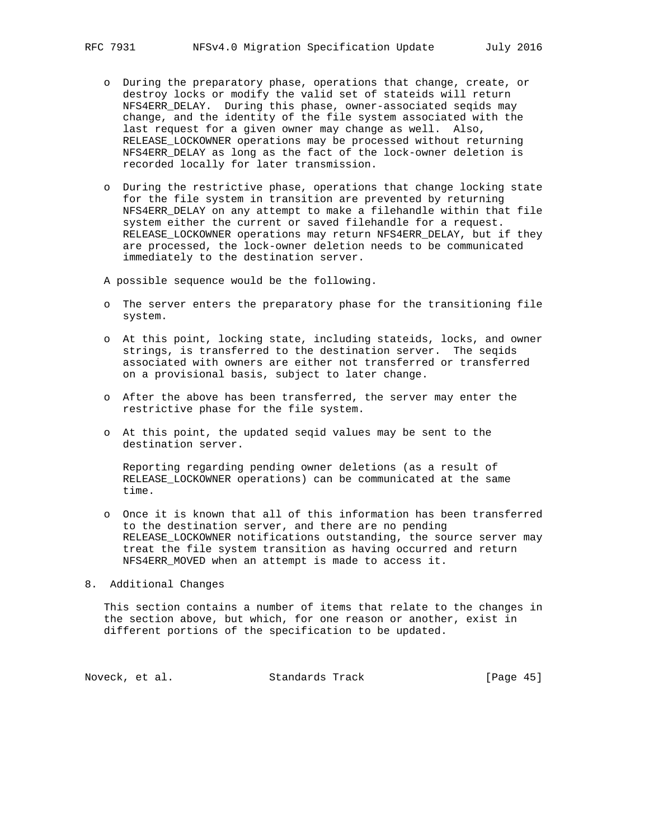- o During the preparatory phase, operations that change, create, or destroy locks or modify the valid set of stateids will return NFS4ERR\_DELAY. During this phase, owner-associated seqids may change, and the identity of the file system associated with the last request for a given owner may change as well. Also, RELEASE\_LOCKOWNER operations may be processed without returning NFS4ERR\_DELAY as long as the fact of the lock-owner deletion is recorded locally for later transmission.
- o During the restrictive phase, operations that change locking state for the file system in transition are prevented by returning NFS4ERR\_DELAY on any attempt to make a filehandle within that file system either the current or saved filehandle for a request. RELEASE\_LOCKOWNER operations may return NFS4ERR\_DELAY, but if they are processed, the lock-owner deletion needs to be communicated immediately to the destination server.

A possible sequence would be the following.

- o The server enters the preparatory phase for the transitioning file system.
- o At this point, locking state, including stateids, locks, and owner strings, is transferred to the destination server. The seqids associated with owners are either not transferred or transferred on a provisional basis, subject to later change.
- o After the above has been transferred, the server may enter the restrictive phase for the file system.
- o At this point, the updated seqid values may be sent to the destination server.

 Reporting regarding pending owner deletions (as a result of RELEASE\_LOCKOWNER operations) can be communicated at the same time.

 o Once it is known that all of this information has been transferred to the destination server, and there are no pending RELEASE LOCKOWNER notifications outstanding, the source server may treat the file system transition as having occurred and return NFS4ERR\_MOVED when an attempt is made to access it.

8. Additional Changes

 This section contains a number of items that relate to the changes in the section above, but which, for one reason or another, exist in different portions of the specification to be updated.

Noveck, et al. Standards Track [Page 45]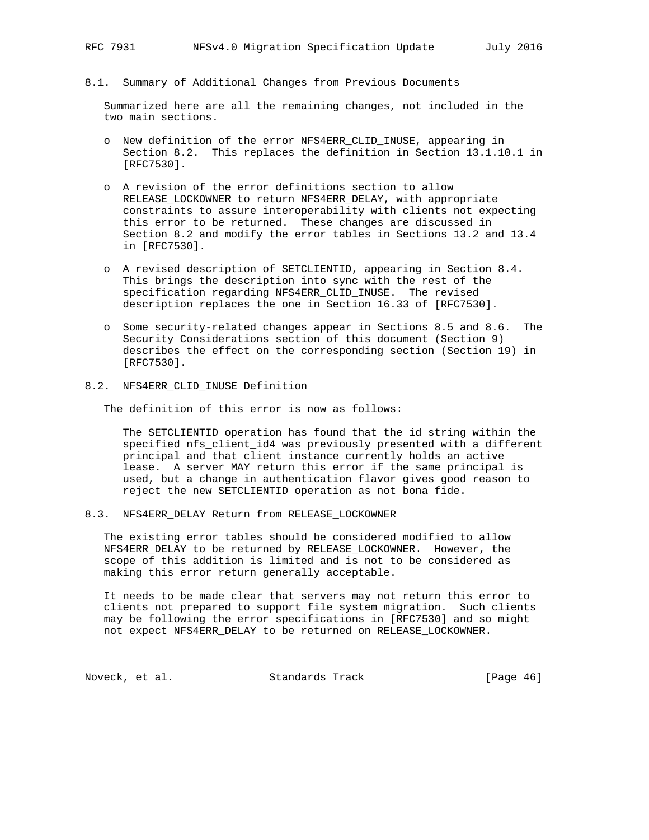#### 8.1. Summary of Additional Changes from Previous Documents

 Summarized here are all the remaining changes, not included in the two main sections.

- o New definition of the error NFS4ERR\_CLID\_INUSE, appearing in Section 8.2. This replaces the definition in Section 13.1.10.1 in [RFC7530].
- o A revision of the error definitions section to allow RELEASE\_LOCKOWNER to return NFS4ERR\_DELAY, with appropriate constraints to assure interoperability with clients not expecting this error to be returned. These changes are discussed in Section 8.2 and modify the error tables in Sections 13.2 and 13.4 in [RFC7530].
- o A revised description of SETCLIENTID, appearing in Section 8.4. This brings the description into sync with the rest of the specification regarding NFS4ERR\_CLID\_INUSE. The revised description replaces the one in Section 16.33 of [RFC7530].
- o Some security-related changes appear in Sections 8.5 and 8.6. The Security Considerations section of this document (Section 9) describes the effect on the corresponding section (Section 19) in [RFC7530].

#### 8.2. NFS4ERR\_CLID\_INUSE Definition

The definition of this error is now as follows:

 The SETCLIENTID operation has found that the id string within the specified nfs\_client\_id4 was previously presented with a different principal and that client instance currently holds an active lease. A server MAY return this error if the same principal is used, but a change in authentication flavor gives good reason to reject the new SETCLIENTID operation as not bona fide.

#### 8.3. NFS4ERR\_DELAY Return from RELEASE\_LOCKOWNER

 The existing error tables should be considered modified to allow NFS4ERR\_DELAY to be returned by RELEASE\_LOCKOWNER. However, the scope of this addition is limited and is not to be considered as making this error return generally acceptable.

 It needs to be made clear that servers may not return this error to clients not prepared to support file system migration. Such clients may be following the error specifications in [RFC7530] and so might not expect NFS4ERR\_DELAY to be returned on RELEASE\_LOCKOWNER.

Noveck, et al. Standards Track [Page 46]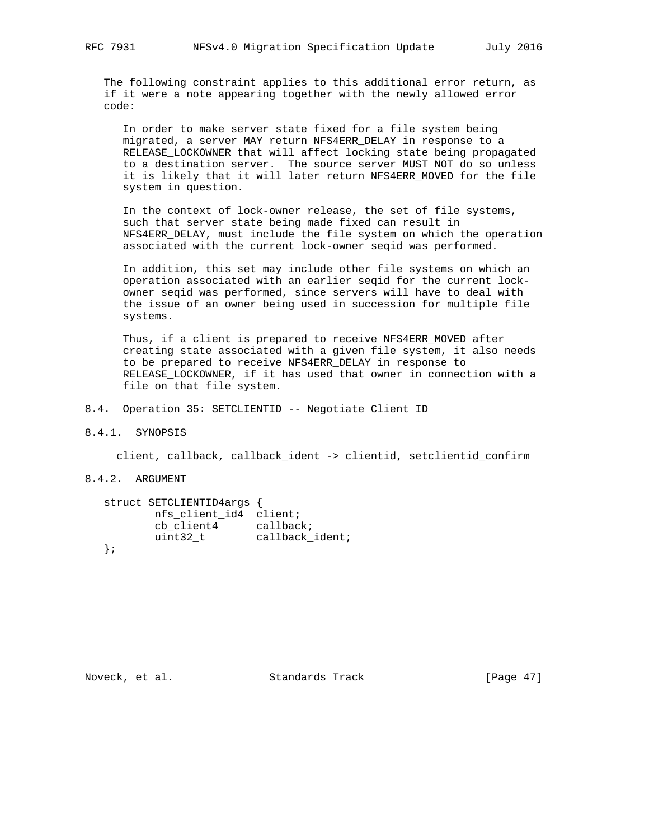The following constraint applies to this additional error return, as if it were a note appearing together with the newly allowed error code:

 In order to make server state fixed for a file system being migrated, a server MAY return NFS4ERR\_DELAY in response to a RELEASE\_LOCKOWNER that will affect locking state being propagated to a destination server. The source server MUST NOT do so unless it is likely that it will later return NFS4ERR\_MOVED for the file system in question.

 In the context of lock-owner release, the set of file systems, such that server state being made fixed can result in NFS4ERR\_DELAY, must include the file system on which the operation associated with the current lock-owner seqid was performed.

 In addition, this set may include other file systems on which an operation associated with an earlier seqid for the current lock owner seqid was performed, since servers will have to deal with the issue of an owner being used in succession for multiple file systems.

 Thus, if a client is prepared to receive NFS4ERR\_MOVED after creating state associated with a given file system, it also needs to be prepared to receive NFS4ERR\_DELAY in response to RELEASE\_LOCKOWNER, if it has used that owner in connection with a file on that file system.

8.4. Operation 35: SETCLIENTID -- Negotiate Client ID

8.4.1. SYNOPSIS

client, callback, callback\_ident -> clientid, setclientid\_confirm

8.4.2. ARGUMENT

|        | struct SETCLIENTID4args |                 |
|--------|-------------------------|-----------------|
|        | nfs client id4 client;  |                 |
|        | cb client4              | callback;       |
|        | uint32 t                | callback_ident; |
| $\}$ ; |                         |                 |

Noveck, et al. Standards Track [Page 47]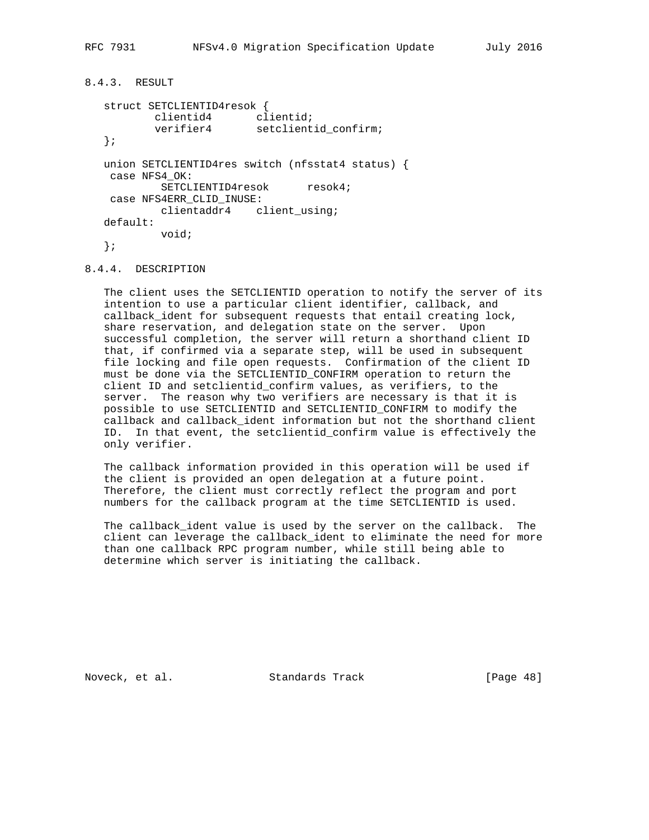```
8.4.3. RESULT
   struct SETCLIENTID4resok {
 clientid4 clientid;
 verifier4 setclientid_confirm;
   };
   union SETCLIENTID4res switch (nfsstat4 status) {
    case NFS4_OK:
         SETCLIENTID4resok resok4;
    case NFS4ERR_CLID_INUSE:
         clientaddr4 client_using;
   default:
           void;
   };
```
#### 8.4.4. DESCRIPTION

 The client uses the SETCLIENTID operation to notify the server of its intention to use a particular client identifier, callback, and callback\_ident for subsequent requests that entail creating lock, share reservation, and delegation state on the server. Upon successful completion, the server will return a shorthand client ID that, if confirmed via a separate step, will be used in subsequent file locking and file open requests. Confirmation of the client ID must be done via the SETCLIENTID\_CONFIRM operation to return the client ID and setclientid\_confirm values, as verifiers, to the server. The reason why two verifiers are necessary is that it is possible to use SETCLIENTID and SETCLIENTID\_CONFIRM to modify the callback and callback\_ident information but not the shorthand client ID. In that event, the setclientid\_confirm value is effectively the only verifier.

 The callback information provided in this operation will be used if the client is provided an open delegation at a future point. Therefore, the client must correctly reflect the program and port numbers for the callback program at the time SETCLIENTID is used.

 The callback\_ident value is used by the server on the callback. The client can leverage the callback\_ident to eliminate the need for more than one callback RPC program number, while still being able to determine which server is initiating the callback.

Noveck, et al. Standards Track [Page 48]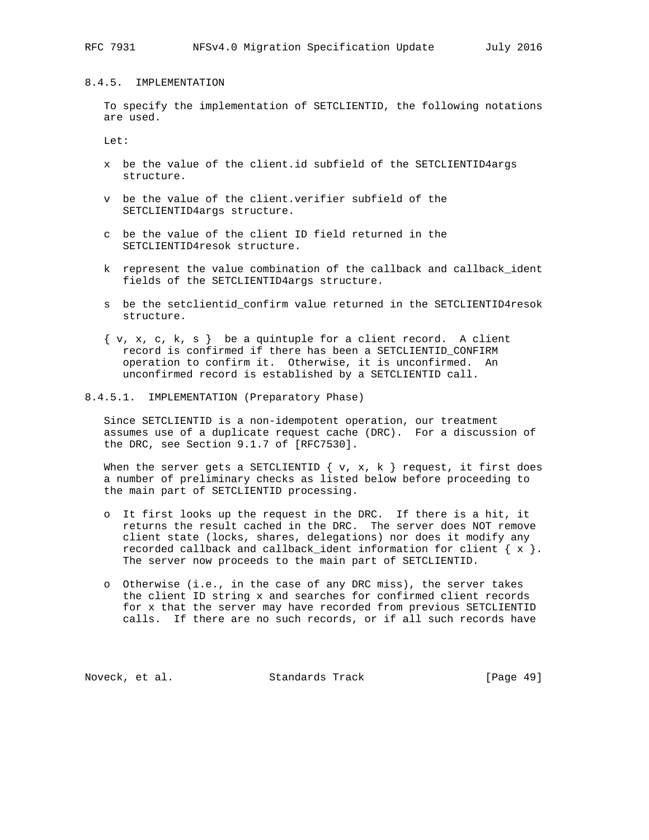## 8.4.5. IMPLEMENTATION

 To specify the implementation of SETCLIENTID, the following notations are used.

Let:

- x be the value of the client.id subfield of the SETCLIENTID4args structure.
- v be the value of the client.verifier subfield of the SETCLIENTID4args structure.
- c be the value of the client ID field returned in the SETCLIENTID4resok structure.
- k represent the value combination of the callback and callback\_ident fields of the SETCLIENTID4args structure.
- s be the setclientid\_confirm value returned in the SETCLIENTID4resok structure.
- $\{ v, x, c, k, s \}$  be a quintuple for a client record. A client record is confirmed if there has been a SETCLIENTID\_CONFIRM operation to confirm it. Otherwise, it is unconfirmed. An unconfirmed record is established by a SETCLIENTID call.

#### 8.4.5.1. IMPLEMENTATION (Preparatory Phase)

 Since SETCLIENTID is a non-idempotent operation, our treatment assumes use of a duplicate request cache (DRC). For a discussion of the DRC, see Section 9.1.7 of [RFC7530].

When the server gets a SETCLIENTID  $\{ v, x, k \}$  request, it first does a number of preliminary checks as listed below before proceeding to the main part of SETCLIENTID processing.

- o It first looks up the request in the DRC. If there is a hit, it returns the result cached in the DRC. The server does NOT remove client state (locks, shares, delegations) nor does it modify any recorded callback and callback\_ident information for client  $\{x\}$ . The server now proceeds to the main part of SETCLIENTID.
- o Otherwise (i.e., in the case of any DRC miss), the server takes the client ID string x and searches for confirmed client records for x that the server may have recorded from previous SETCLIENTID calls. If there are no such records, or if all such records have

Noveck, et al. Standards Track [Page 49]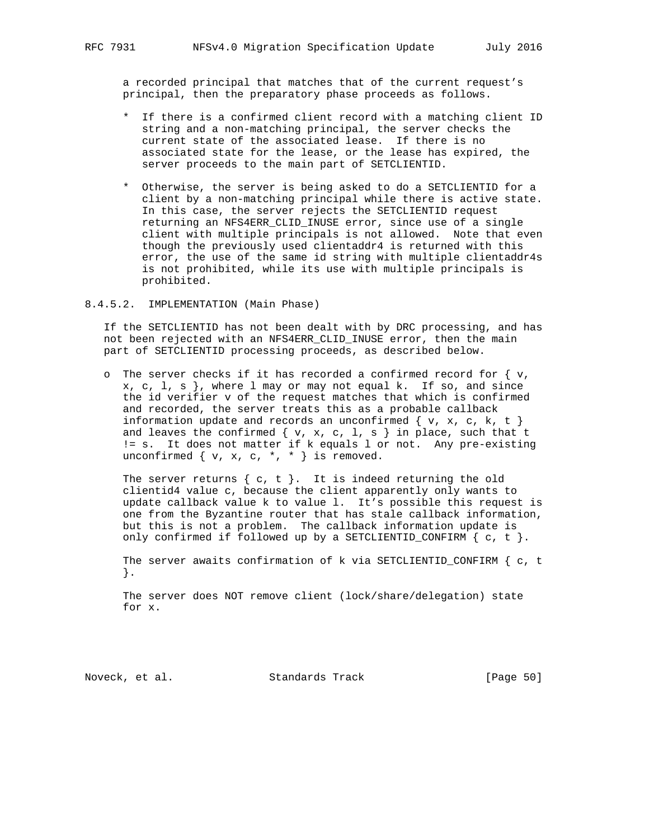a recorded principal that matches that of the current request's principal, then the preparatory phase proceeds as follows.

- \* If there is a confirmed client record with a matching client ID string and a non-matching principal, the server checks the current state of the associated lease. If there is no associated state for the lease, or the lease has expired, the server proceeds to the main part of SETCLIENTID.
- \* Otherwise, the server is being asked to do a SETCLIENTID for a client by a non-matching principal while there is active state. In this case, the server rejects the SETCLIENTID request returning an NFS4ERR\_CLID\_INUSE error, since use of a single client with multiple principals is not allowed. Note that even though the previously used clientaddr4 is returned with this error, the use of the same id string with multiple clientaddr4s is not prohibited, while its use with multiple principals is prohibited.
- 8.4.5.2. IMPLEMENTATION (Main Phase)

 If the SETCLIENTID has not been dealt with by DRC processing, and has not been rejected with an NFS4ERR\_CLID\_INUSE error, then the main part of SETCLIENTID processing proceeds, as described below.

o The server checks if it has recorded a confirmed record for  $\{v,$  $x, c, 1, s$ , where 1 may or may not equal k. If so, and since the id verifier v of the request matches that which is confirmed and recorded, the server treats this as a probable callback information update and records an unconfirmed  $\{ v, x, c, k, t \}$ and leaves the confirmed  $\{ v, x, c, 1, s \}$  in place, such that t != s. It does not matter if k equals l or not. Any pre-existing unconfirmed  $\{ v, x, c, *, * \}$  is removed.

The server returns  $\{ c, t \}$ . It is indeed returning the old clientid4 value c, because the client apparently only wants to update callback value k to value l. It's possible this request is one from the Byzantine router that has stale callback information, but this is not a problem. The callback information update is only confirmed if followed up by a SETCLIENTID CONFIRM  $\{ c, t \}$ .

 The server awaits confirmation of k via SETCLIENTID\_CONFIRM { c, t }.

 The server does NOT remove client (lock/share/delegation) state for x.

Noveck, et al. Standards Track [Page 50]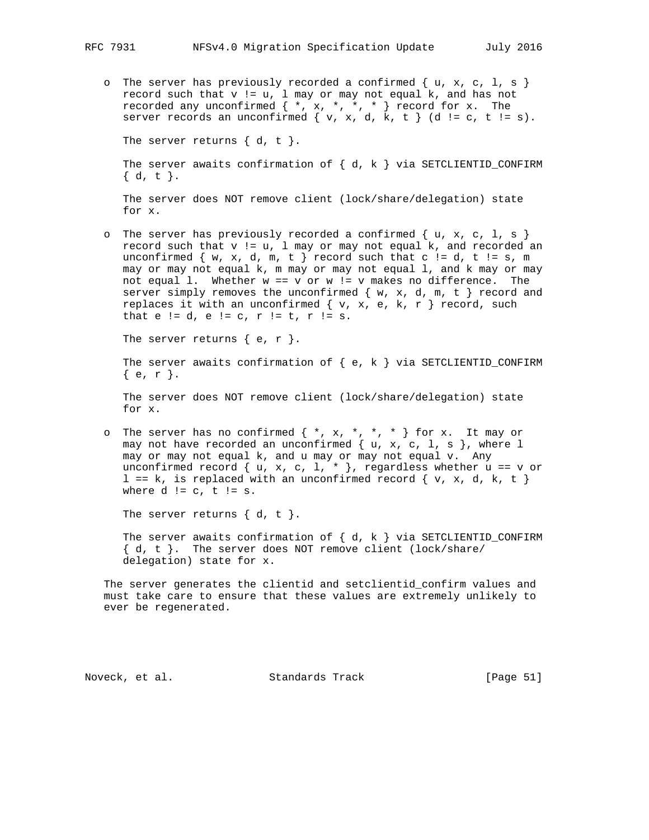o The server has previously recorded a confirmed  $\{ u, x, c, 1, s \}$ record such that  $v := u$ ,  $l$  may or may not equal k, and has not recorded any unconfirmed  $\{ *$ ,  $x$ ,  $*,$   $*,$   $*$   $\}$  record for  $x$ . The server records an unconfirmed  $\{ v, x, d, k, t \}$  (d != c, t != s).

The server returns  $\{ d, t \}$ .

The server awaits confirmation of  $\{ d, k \}$  via SETCLIENTID\_CONFIRM { d, t }.

 The server does NOT remove client (lock/share/delegation) state for x.

o The server has previously recorded a confirmed  $\{ u, x, c, 1, s \}$  record such that v != u, l may or may not equal k, and recorded an unconfirmed  $\{ w, x, d, m, t \}$  record such that c != d, t != s, m may or may not equal k, m may or may not equal l, and k may or may not equal 1. Whether  $w == v$  or  $w != v$  makes no difference. The server simply removes the unconfirmed  $\{ w, x, d, m, t \}$  record and replaces it with an unconfirmed  $\{ v, x, e, k, r \}$  record, such that  $e := d$ ,  $e := c$ ,  $r := t$ ,  $r := s$ .

The server returns  $\{ e, r \}$ .

 The server awaits confirmation of { e, k } via SETCLIENTID\_CONFIRM { e, r }.

 The server does NOT remove client (lock/share/delegation) state for x.

o The server has no confirmed  $\{*, x, *, *, * \}$  for x. It may or may not have recorded an unconfirmed  $\{ u, x, c, 1, s \}$ , where  $l$  may or may not equal k, and u may or may not equal v. Any unconfirmed record  $\{ u, x, c, 1, * \}$ , regardless whether  $u == v$  or  $l == k$ , is replaced with an unconfirmed record  $\{ v, x, d, k, t \}$ where  $d := c$ ,  $t := s$ .

The server returns  $\{ d, t \}$ .

The server awaits confirmation of  $\{ d, k \}$  via SETCLIENTID\_CONFIRM { d, t }. The server does NOT remove client (lock/share/ delegation) state for x.

 The server generates the clientid and setclientid\_confirm values and must take care to ensure that these values are extremely unlikely to ever be regenerated.

Noveck, et al. Standards Track [Page 51]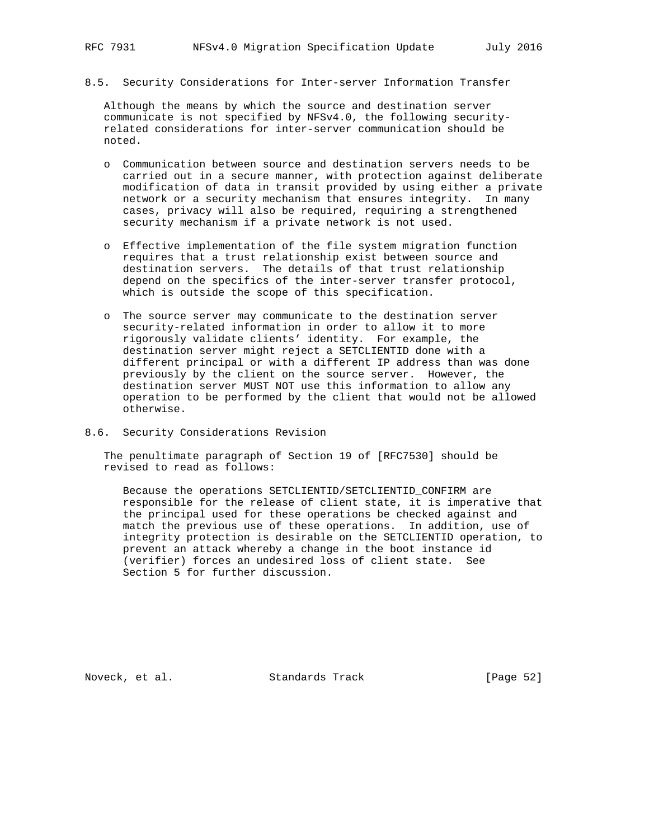8.5. Security Considerations for Inter-server Information Transfer

 Although the means by which the source and destination server communicate is not specified by NFSv4.0, the following security related considerations for inter-server communication should be noted.

- o Communication between source and destination servers needs to be carried out in a secure manner, with protection against deliberate modification of data in transit provided by using either a private network or a security mechanism that ensures integrity. In many cases, privacy will also be required, requiring a strengthened security mechanism if a private network is not used.
- o Effective implementation of the file system migration function requires that a trust relationship exist between source and destination servers. The details of that trust relationship depend on the specifics of the inter-server transfer protocol, which is outside the scope of this specification.
- o The source server may communicate to the destination server security-related information in order to allow it to more rigorously validate clients' identity. For example, the destination server might reject a SETCLIENTID done with a different principal or with a different IP address than was done previously by the client on the source server. However, the destination server MUST NOT use this information to allow any operation to be performed by the client that would not be allowed otherwise.
- 8.6. Security Considerations Revision

 The penultimate paragraph of Section 19 of [RFC7530] should be revised to read as follows:

 Because the operations SETCLIENTID/SETCLIENTID\_CONFIRM are responsible for the release of client state, it is imperative that the principal used for these operations be checked against and match the previous use of these operations. In addition, use of integrity protection is desirable on the SETCLIENTID operation, to prevent an attack whereby a change in the boot instance id (verifier) forces an undesired loss of client state. See Section 5 for further discussion.

Noveck, et al. Standards Track [Page 52]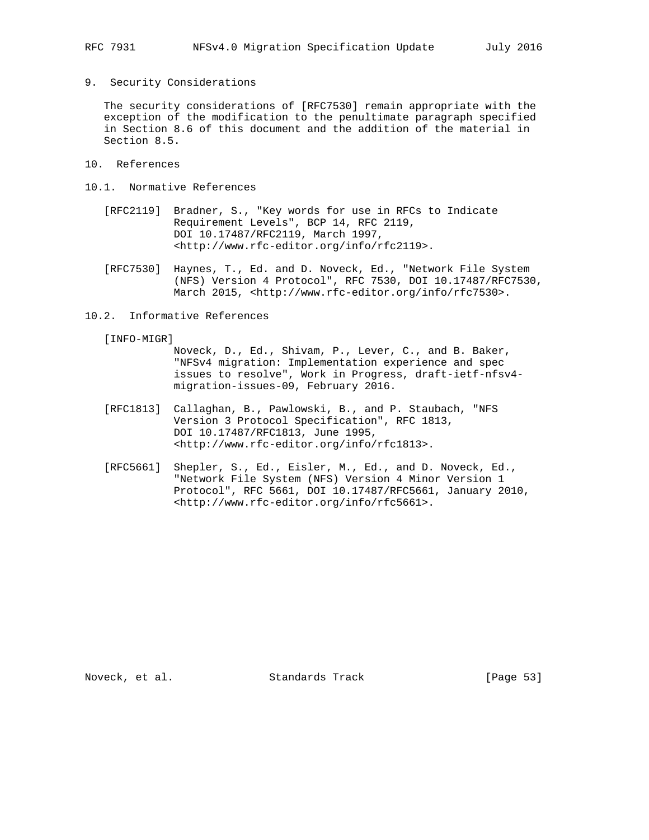9. Security Considerations

 The security considerations of [RFC7530] remain appropriate with the exception of the modification to the penultimate paragraph specified in Section 8.6 of this document and the addition of the material in Section 8.5.

- 10. References
- 10.1. Normative References
	- [RFC2119] Bradner, S., "Key words for use in RFCs to Indicate Requirement Levels", BCP 14, RFC 2119, DOI 10.17487/RFC2119, March 1997, <http://www.rfc-editor.org/info/rfc2119>.
	- [RFC7530] Haynes, T., Ed. and D. Noveck, Ed., "Network File System (NFS) Version 4 Protocol", RFC 7530, DOI 10.17487/RFC7530, March 2015, <http://www.rfc-editor.org/info/rfc7530>.
- 10.2. Informative References

[INFO-MIGR]

- Noveck, D., Ed., Shivam, P., Lever, C., and B. Baker, "NFSv4 migration: Implementation experience and spec issues to resolve", Work in Progress, draft-ietf-nfsv4 migration-issues-09, February 2016.
- [RFC1813] Callaghan, B., Pawlowski, B., and P. Staubach, "NFS Version 3 Protocol Specification", RFC 1813, DOI 10.17487/RFC1813, June 1995, <http://www.rfc-editor.org/info/rfc1813>.
- [RFC5661] Shepler, S., Ed., Eisler, M., Ed., and D. Noveck, Ed., "Network File System (NFS) Version 4 Minor Version 1 Protocol", RFC 5661, DOI 10.17487/RFC5661, January 2010, <http://www.rfc-editor.org/info/rfc5661>.

Noveck, et al. Standards Track [Page 53]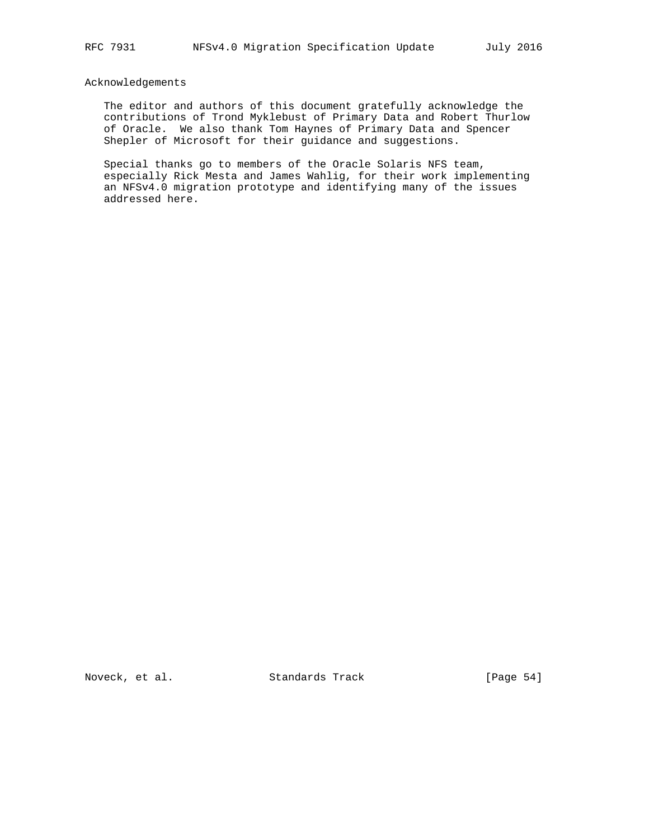## Acknowledgements

 The editor and authors of this document gratefully acknowledge the contributions of Trond Myklebust of Primary Data and Robert Thurlow of Oracle. We also thank Tom Haynes of Primary Data and Spencer Shepler of Microsoft for their guidance and suggestions.

 Special thanks go to members of the Oracle Solaris NFS team, especially Rick Mesta and James Wahlig, for their work implementing an NFSv4.0 migration prototype and identifying many of the issues addressed here.